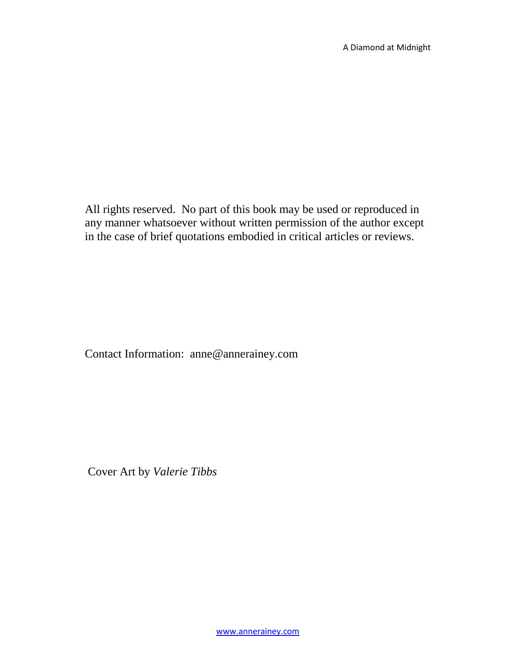All rights reserved. No part of this book may be used or reproduced in any manner whatsoever without written permission of the author except in the case of brief quotations embodied in critical articles or reviews.

Contact Information: anne@annerainey.com

Cover Art by *Valerie Tibbs*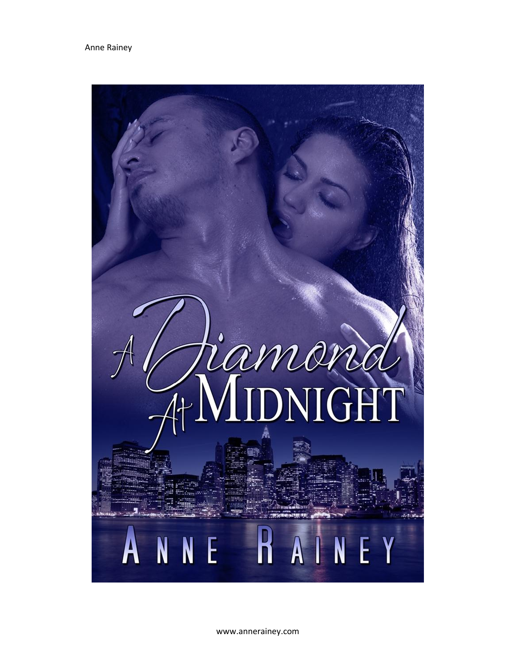

www.annerainey.com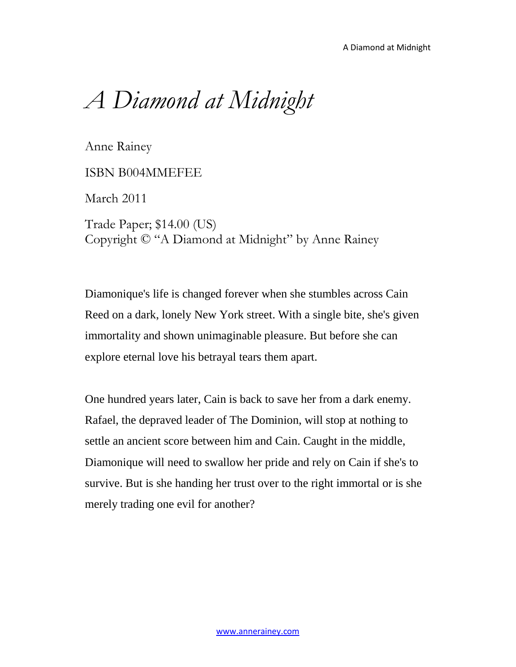# *A Diamond at Midnight*

Anne Rainey

ISBN B004MMEFEE

March 2011

Trade Paper; \$14.00 (US) Copyright © "A Diamond at Midnight" by Anne Rainey

Diamonique's life is changed forever when she stumbles across Cain Reed on a dark, lonely New York street. With a single bite, she's given immortality and shown unimaginable pleasure. But before she can explore eternal love his betrayal tears them apart.

One hundred years later, Cain is back to save her from a dark enemy. Rafael, the depraved leader of The Dominion, will stop at nothing to settle an ancient score between him and Cain. Caught in the middle, Diamonique will need to swallow her pride and rely on Cain if she's to survive. But is she handing her trust over to the right immortal or is she merely trading one evil for another?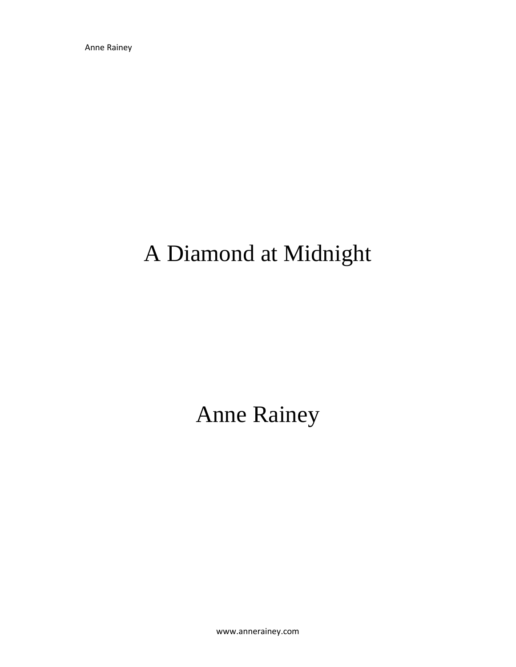Anne Rainey

## A Diamond at Midnight

Anne Rainey

www.annerainey.com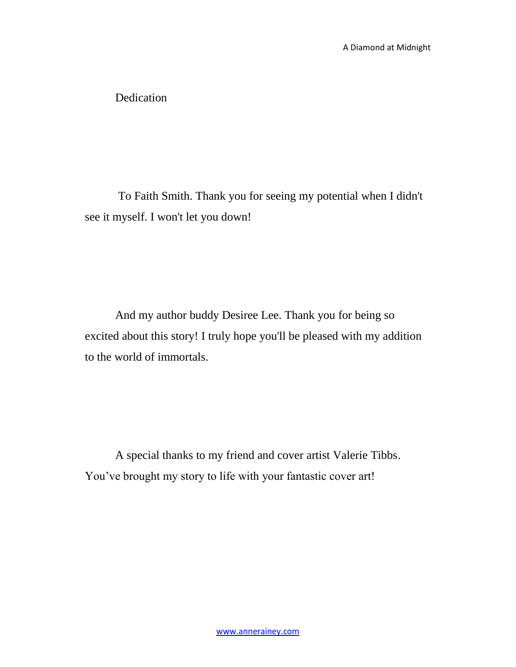Dedication

To Faith Smith. Thank you for seeing my potential when I didn't see it myself. I won't let you down!

And my author buddy Desiree Lee. Thank you for being so excited about this story! I truly hope you'll be pleased with my addition to the world of immortals.

A special thanks to my friend and cover artist Valerie Tibbs. You've brought my story to life with your fantastic cover art!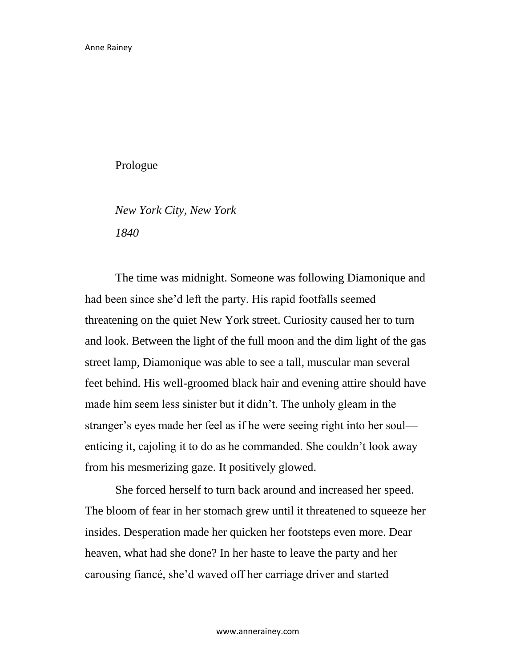Prologue

*New York City, New York 1840* 

The time was midnight. Someone was following Diamonique and had been since she'd left the party. His rapid footfalls seemed threatening on the quiet New York street. Curiosity caused her to turn and look. Between the light of the full moon and the dim light of the gas street lamp, Diamonique was able to see a tall, muscular man several feet behind. His well-groomed black hair and evening attire should have made him seem less sinister but it didn't. The unholy gleam in the stranger's eyes made her feel as if he were seeing right into her soul enticing it, cajoling it to do as he commanded. She couldn't look away from his mesmerizing gaze. It positively glowed.

She forced herself to turn back around and increased her speed. The bloom of fear in her stomach grew until it threatened to squeeze her insides. Desperation made her quicken her footsteps even more. Dear heaven, what had she done? In her haste to leave the party and her carousing fiancé, she'd waved off her carriage driver and started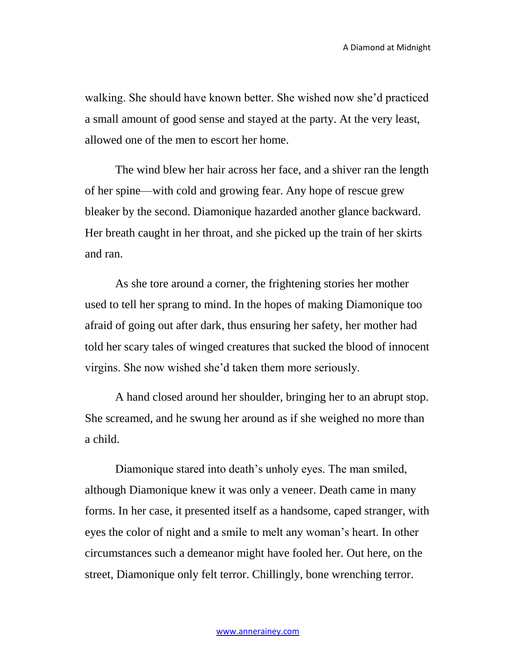walking. She should have known better. She wished now she'd practiced a small amount of good sense and stayed at the party. At the very least, allowed one of the men to escort her home.

The wind blew her hair across her face, and a shiver ran the length of her spine—with cold and growing fear. Any hope of rescue grew bleaker by the second. Diamonique hazarded another glance backward. Her breath caught in her throat, and she picked up the train of her skirts and ran.

As she tore around a corner, the frightening stories her mother used to tell her sprang to mind. In the hopes of making Diamonique too afraid of going out after dark, thus ensuring her safety, her mother had told her scary tales of winged creatures that sucked the blood of innocent virgins. She now wished she'd taken them more seriously.

A hand closed around her shoulder, bringing her to an abrupt stop. She screamed, and he swung her around as if she weighed no more than a child.

Diamonique stared into death's unholy eyes. The man smiled, although Diamonique knew it was only a veneer. Death came in many forms. In her case, it presented itself as a handsome, caped stranger, with eyes the color of night and a smile to melt any woman's heart. In other circumstances such a demeanor might have fooled her. Out here, on the street, Diamonique only felt terror. Chillingly, bone wrenching terror.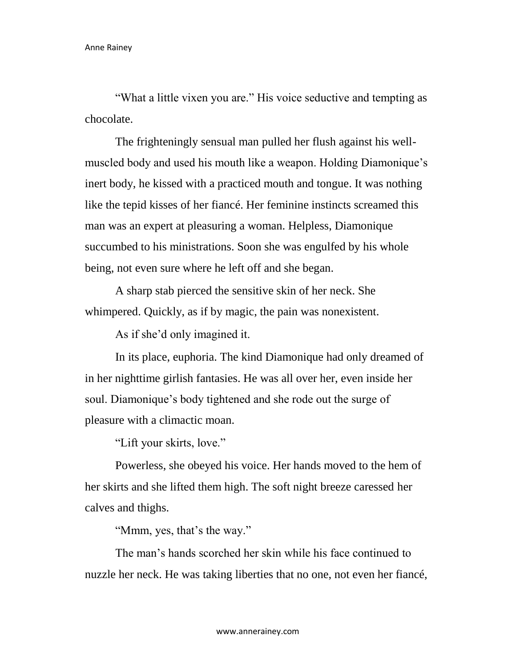"What a little vixen you are." His voice seductive and tempting as chocolate.

The frighteningly sensual man pulled her flush against his wellmuscled body and used his mouth like a weapon. Holding Diamonique's inert body, he kissed with a practiced mouth and tongue. It was nothing like the tepid kisses of her fiancé. Her feminine instincts screamed this man was an expert at pleasuring a woman. Helpless, Diamonique succumbed to his ministrations. Soon she was engulfed by his whole being, not even sure where he left off and she began.

A sharp stab pierced the sensitive skin of her neck. She whimpered. Quickly, as if by magic, the pain was nonexistent.

As if she'd only imagined it.

In its place, euphoria. The kind Diamonique had only dreamed of in her nighttime girlish fantasies. He was all over her, even inside her soul. Diamonique's body tightened and she rode out the surge of pleasure with a climactic moan.

"Lift your skirts, love."

Powerless, she obeyed his voice. Her hands moved to the hem of her skirts and she lifted them high. The soft night breeze caressed her calves and thighs.

"Mmm, yes, that's the way."

The man's hands scorched her skin while his face continued to nuzzle her neck. He was taking liberties that no one, not even her fiancé,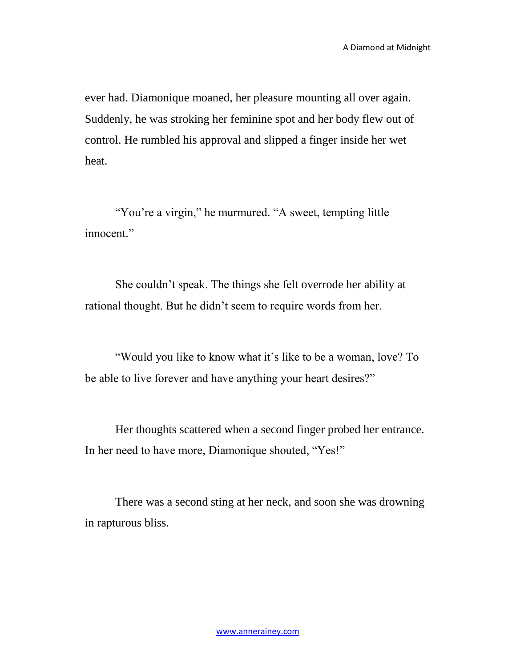ever had. Diamonique moaned, her pleasure mounting all over again. Suddenly, he was stroking her feminine spot and her body flew out of control. He rumbled his approval and slipped a finger inside her wet heat.

"You're a virgin," he murmured. "A sweet, tempting little innocent."

She couldn't speak. The things she felt overrode her ability at rational thought. But he didn't seem to require words from her.

"Would you like to know what it's like to be a woman, love? To be able to live forever and have anything your heart desires?"

Her thoughts scattered when a second finger probed her entrance. In her need to have more, Diamonique shouted, "Yes!"

There was a second sting at her neck, and soon she was drowning in rapturous bliss.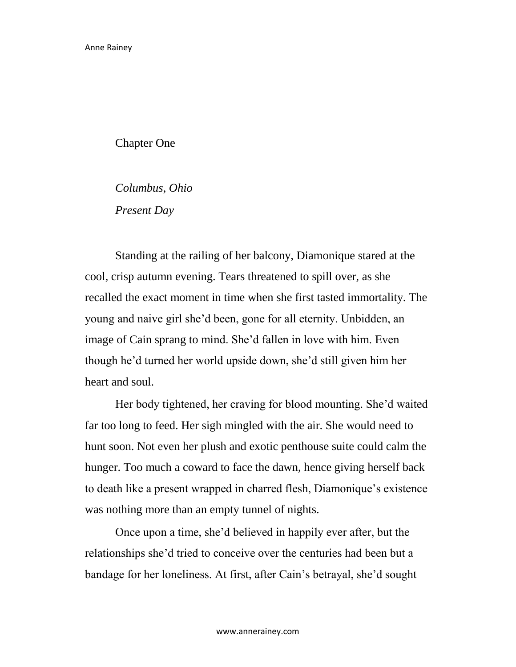Chapter One

*Columbus, Ohio Present Day* 

Standing at the railing of her balcony, Diamonique stared at the cool, crisp autumn evening. Tears threatened to spill over, as she recalled the exact moment in time when she first tasted immortality. The young and naive girl she'd been, gone for all eternity. Unbidden, an image of Cain sprang to mind. She'd fallen in love with him. Even though he'd turned her world upside down, she'd still given him her heart and soul.

Her body tightened, her craving for blood mounting. She'd waited far too long to feed. Her sigh mingled with the air. She would need to hunt soon. Not even her plush and exotic penthouse suite could calm the hunger. Too much a coward to face the dawn, hence giving herself back to death like a present wrapped in charred flesh, Diamonique's existence was nothing more than an empty tunnel of nights.

Once upon a time, she'd believed in happily ever after, but the relationships she'd tried to conceive over the centuries had been but a bandage for her loneliness. At first, after Cain's betrayal, she'd sought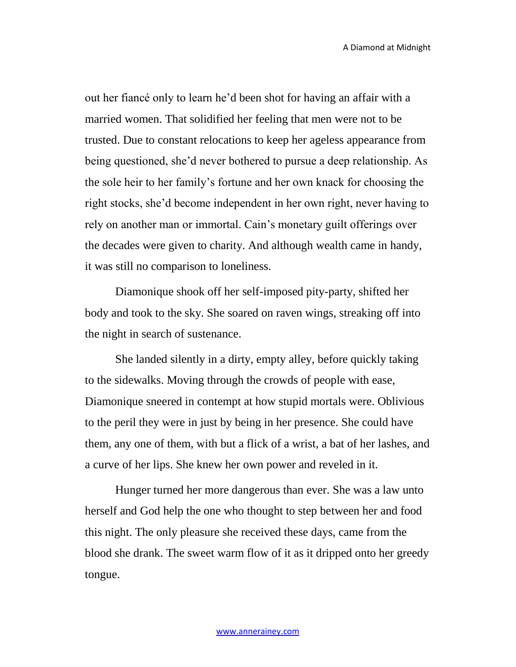out her fiancé only to learn he'd been shot for having an affair with a married women. That solidified her feeling that men were not to be trusted. Due to constant relocations to keep her ageless appearance from being questioned, she'd never bothered to pursue a deep relationship. As the sole heir to her family's fortune and her own knack for choosing the right stocks, she'd become independent in her own right, never having to rely on another man or immortal. Cain's monetary guilt offerings over the decades were given to charity. And although wealth came in handy, it was still no comparison to loneliness.

Diamonique shook off her self-imposed pity-party, shifted her body and took to the sky. She soared on raven wings, streaking off into the night in search of sustenance.

She landed silently in a dirty, empty alley, before quickly taking to the sidewalks. Moving through the crowds of people with ease, Diamonique sneered in contempt at how stupid mortals were. Oblivious to the peril they were in just by being in her presence. She could have them, any one of them, with but a flick of a wrist, a bat of her lashes, and a curve of her lips. She knew her own power and reveled in it.

Hunger turned her more dangerous than ever. She was a law unto herself and God help the one who thought to step between her and food this night. The only pleasure she received these days, came from the blood she drank. The sweet warm flow of it as it dripped onto her greedy tongue.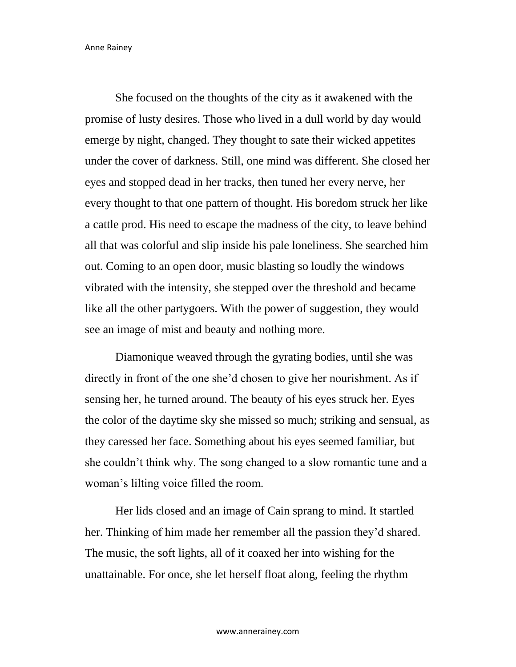She focused on the thoughts of the city as it awakened with the promise of lusty desires. Those who lived in a dull world by day would emerge by night, changed. They thought to sate their wicked appetites under the cover of darkness. Still, one mind was different. She closed her eyes and stopped dead in her tracks, then tuned her every nerve, her every thought to that one pattern of thought. His boredom struck her like a cattle prod. His need to escape the madness of the city, to leave behind all that was colorful and slip inside his pale loneliness. She searched him out. Coming to an open door, music blasting so loudly the windows vibrated with the intensity, she stepped over the threshold and became like all the other partygoers. With the power of suggestion, they would see an image of mist and beauty and nothing more.

Diamonique weaved through the gyrating bodies, until she was directly in front of the one she'd chosen to give her nourishment. As if sensing her, he turned around. The beauty of his eyes struck her. Eyes the color of the daytime sky she missed so much; striking and sensual, as they caressed her face. Something about his eyes seemed familiar, but she couldn't think why. The song changed to a slow romantic tune and a woman's lilting voice filled the room.

Her lids closed and an image of Cain sprang to mind. It startled her. Thinking of him made her remember all the passion they'd shared. The music, the soft lights, all of it coaxed her into wishing for the unattainable. For once, she let herself float along, feeling the rhythm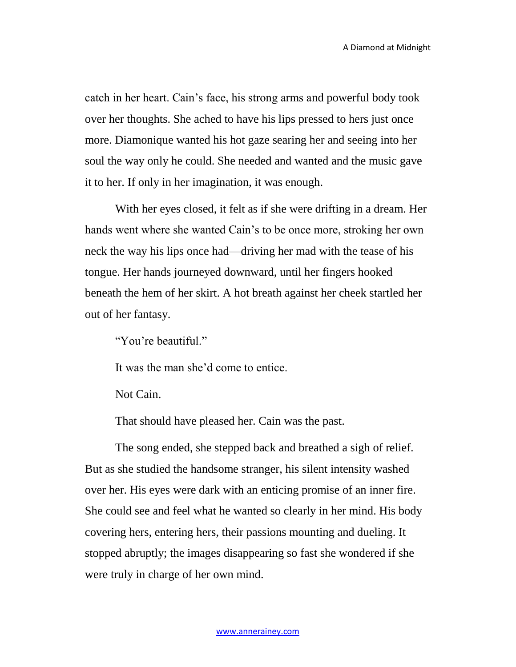catch in her heart. Cain's face, his strong arms and powerful body took over her thoughts. She ached to have his lips pressed to hers just once more. Diamonique wanted his hot gaze searing her and seeing into her soul the way only he could. She needed and wanted and the music gave it to her. If only in her imagination, it was enough.

With her eyes closed, it felt as if she were drifting in a dream. Her hands went where she wanted Cain's to be once more, stroking her own neck the way his lips once had—driving her mad with the tease of his tongue. Her hands journeyed downward, until her fingers hooked beneath the hem of her skirt. A hot breath against her cheek startled her out of her fantasy.

"You're beautiful."

It was the man she'd come to entice.

Not Cain.

That should have pleased her. Cain was the past.

The song ended, she stepped back and breathed a sigh of relief. But as she studied the handsome stranger, his silent intensity washed over her. His eyes were dark with an enticing promise of an inner fire. She could see and feel what he wanted so clearly in her mind. His body covering hers, entering hers, their passions mounting and dueling. It stopped abruptly; the images disappearing so fast she wondered if she were truly in charge of her own mind.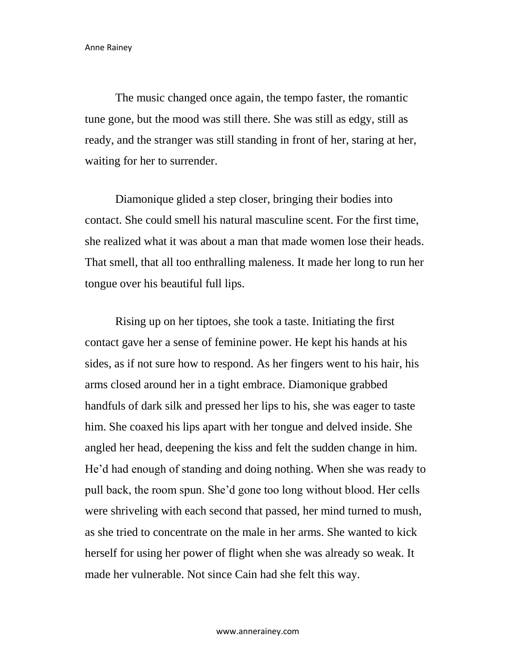The music changed once again, the tempo faster, the romantic tune gone, but the mood was still there. She was still as edgy, still as ready, and the stranger was still standing in front of her, staring at her, waiting for her to surrender.

Diamonique glided a step closer, bringing their bodies into contact. She could smell his natural masculine scent. For the first time, she realized what it was about a man that made women lose their heads. That smell, that all too enthralling maleness. It made her long to run her tongue over his beautiful full lips.

Rising up on her tiptoes, she took a taste. Initiating the first contact gave her a sense of feminine power. He kept his hands at his sides, as if not sure how to respond. As her fingers went to his hair, his arms closed around her in a tight embrace. Diamonique grabbed handfuls of dark silk and pressed her lips to his, she was eager to taste him. She coaxed his lips apart with her tongue and delved inside. She angled her head, deepening the kiss and felt the sudden change in him. He'd had enough of standing and doing nothing. When she was ready to pull back, the room spun. She'd gone too long without blood. Her cells were shriveling with each second that passed, her mind turned to mush, as she tried to concentrate on the male in her arms. She wanted to kick herself for using her power of flight when she was already so weak. It made her vulnerable. Not since Cain had she felt this way.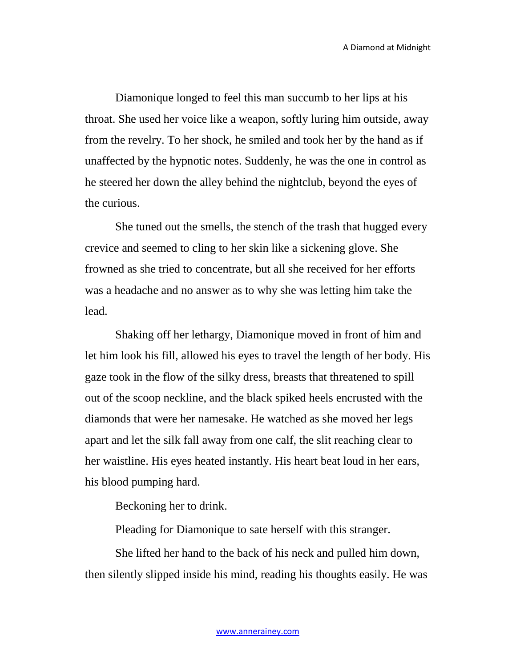Diamonique longed to feel this man succumb to her lips at his throat. She used her voice like a weapon, softly luring him outside, away from the revelry. To her shock, he smiled and took her by the hand as if unaffected by the hypnotic notes. Suddenly, he was the one in control as he steered her down the alley behind the nightclub, beyond the eyes of the curious.

She tuned out the smells, the stench of the trash that hugged every crevice and seemed to cling to her skin like a sickening glove. She frowned as she tried to concentrate, but all she received for her efforts was a headache and no answer as to why she was letting him take the lead.

Shaking off her lethargy, Diamonique moved in front of him and let him look his fill, allowed his eyes to travel the length of her body. His gaze took in the flow of the silky dress, breasts that threatened to spill out of the scoop neckline, and the black spiked heels encrusted with the diamonds that were her namesake. He watched as she moved her legs apart and let the silk fall away from one calf, the slit reaching clear to her waistline. His eyes heated instantly. His heart beat loud in her ears, his blood pumping hard.

Beckoning her to drink.

Pleading for Diamonique to sate herself with this stranger.

She lifted her hand to the back of his neck and pulled him down, then silently slipped inside his mind, reading his thoughts easily. He was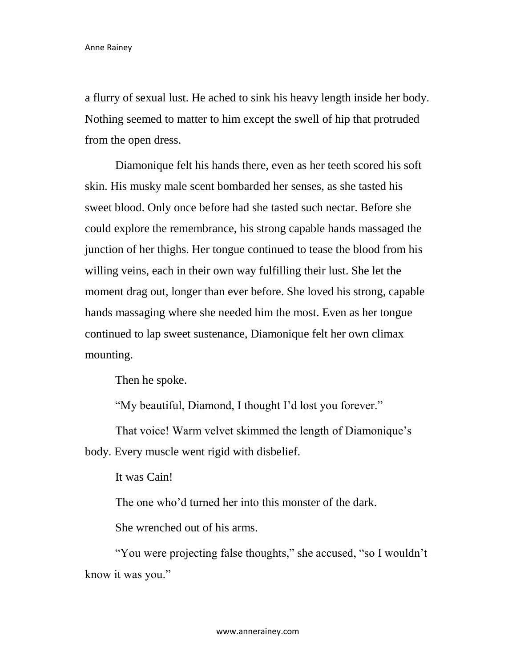a flurry of sexual lust. He ached to sink his heavy length inside her body. Nothing seemed to matter to him except the swell of hip that protruded from the open dress.

Diamonique felt his hands there, even as her teeth scored his soft skin. His musky male scent bombarded her senses, as she tasted his sweet blood. Only once before had she tasted such nectar. Before she could explore the remembrance, his strong capable hands massaged the junction of her thighs. Her tongue continued to tease the blood from his willing veins, each in their own way fulfilling their lust. She let the moment drag out, longer than ever before. She loved his strong, capable hands massaging where she needed him the most. Even as her tongue continued to lap sweet sustenance, Diamonique felt her own climax mounting.

Then he spoke.

"My beautiful, Diamond, I thought I'd lost you forever."

That voice! Warm velvet skimmed the length of Diamonique's body. Every muscle went rigid with disbelief.

It was Cain!

The one who'd turned her into this monster of the dark.

She wrenched out of his arms.

"You were projecting false thoughts," she accused, "so I wouldn't know it was you."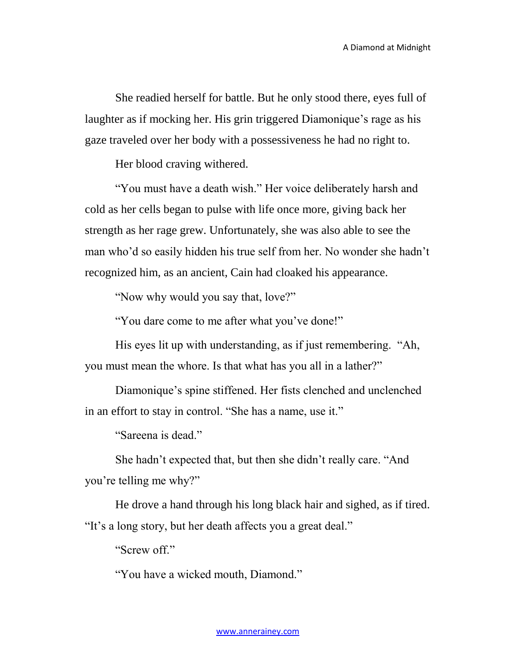She readied herself for battle. But he only stood there, eyes full of laughter as if mocking her. His grin triggered Diamonique's rage as his gaze traveled over her body with a possessiveness he had no right to.

Her blood craving withered.

"You must have a death wish." Her voice deliberately harsh and cold as her cells began to pulse with life once more, giving back her strength as her rage grew. Unfortunately, she was also able to see the man who'd so easily hidden his true self from her. No wonder she hadn't recognized him, as an ancient, Cain had cloaked his appearance.

"Now why would you say that, love?"

"You dare come to me after what you've done!"

His eyes lit up with understanding, as if just remembering. "Ah, you must mean the whore. Is that what has you all in a lather?"

Diamonique's spine stiffened. Her fists clenched and unclenched in an effort to stay in control. "She has a name, use it."

"Sareena is dead."

She hadn't expected that, but then she didn't really care. "And you're telling me why?"

He drove a hand through his long black hair and sighed, as if tired. "It's a long story, but her death affects you a great deal."

"Screw off."

"You have a wicked mouth, Diamond."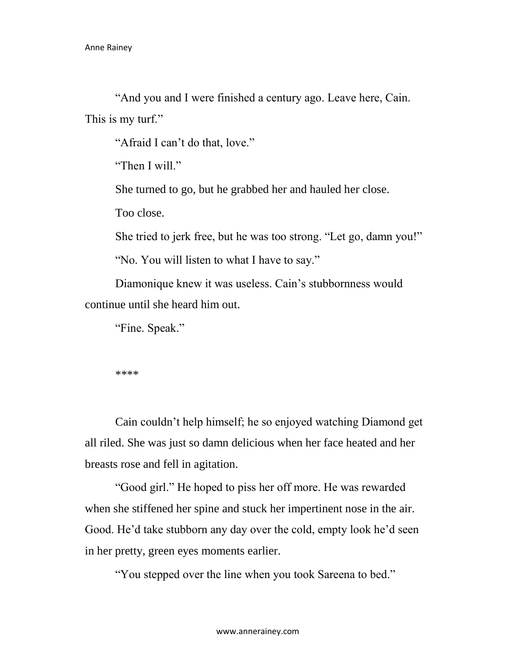"And you and I were finished a century ago. Leave here, Cain. This is my turf."

"Afraid I can't do that, love."

"Then I will."

She turned to go, but he grabbed her and hauled her close.

Too close.

She tried to jerk free, but he was too strong. "Let go, damn you!"

"No. You will listen to what I have to say."

Diamonique knew it was useless. Cain's stubbornness would continue until she heard him out.

"Fine. Speak."

\*\*\*\*

Cain couldn't help himself; he so enjoyed watching Diamond get all riled. She was just so damn delicious when her face heated and her breasts rose and fell in agitation.

"Good girl." He hoped to piss her off more. He was rewarded when she stiffened her spine and stuck her impertinent nose in the air. Good. He'd take stubborn any day over the cold, empty look he'd seen in her pretty, green eyes moments earlier.

"You stepped over the line when you took Sareena to bed."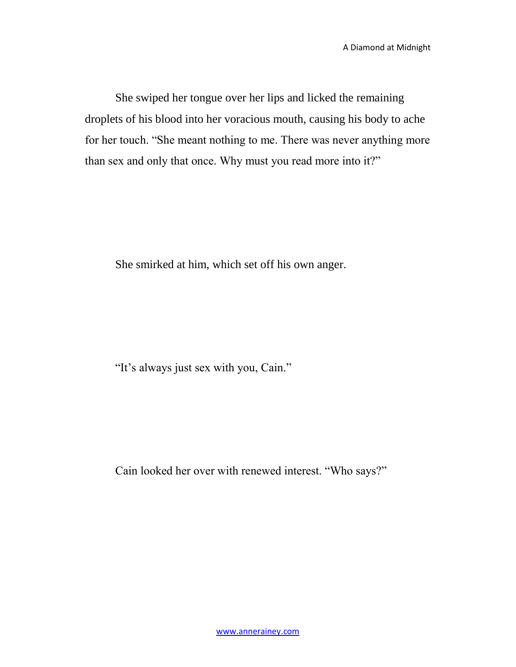She swiped her tongue over her lips and licked the remaining droplets of his blood into her voracious mouth, causing his body to ache for her touch. "She meant nothing to me. There was never anything more than sex and only that once. Why must you read more into it?"

She smirked at him, which set off his own anger.

"It's always just sex with you, Cain."

Cain looked her over with renewed interest. "Who says?"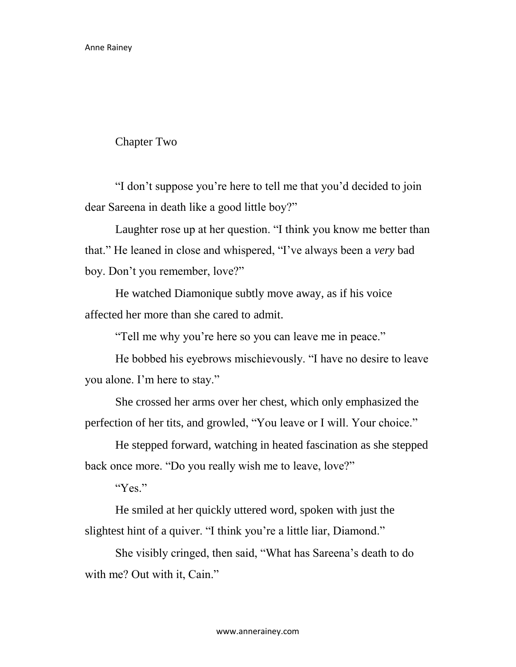### Chapter Two

"I don't suppose you're here to tell me that you'd decided to join dear Sareena in death like a good little boy?"

Laughter rose up at her question. "I think you know me better than that." He leaned in close and whispered, "I've always been a *very* bad boy. Don't you remember, love?"

He watched Diamonique subtly move away, as if his voice affected her more than she cared to admit.

"Tell me why you're here so you can leave me in peace."

He bobbed his eyebrows mischievously. "I have no desire to leave you alone. I'm here to stay."

She crossed her arms over her chest, which only emphasized the perfection of her tits, and growled, "You leave or I will. Your choice."

He stepped forward, watching in heated fascination as she stepped back once more. "Do you really wish me to leave, love?"

"Yes."

He smiled at her quickly uttered word, spoken with just the slightest hint of a quiver. "I think you're a little liar, Diamond."

She visibly cringed, then said, "What has Sareena's death to do with me? Out with it, Cain."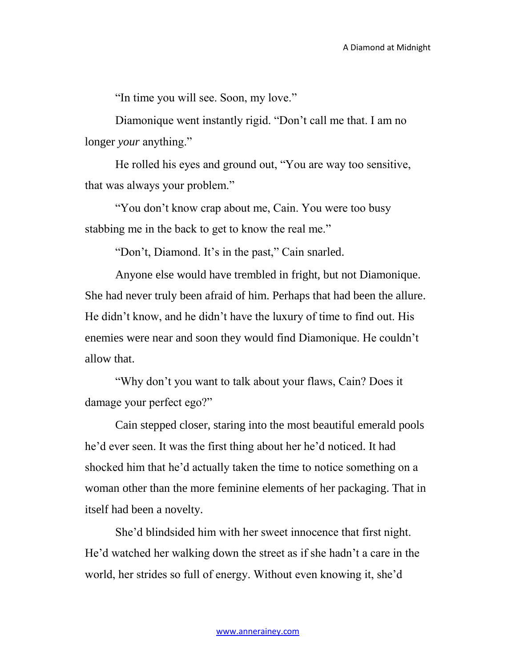"In time you will see. Soon, my love."

Diamonique went instantly rigid. "Don't call me that. I am no longer *your* anything."

He rolled his eyes and ground out, "You are way too sensitive, that was always your problem."

"You don't know crap about me, Cain. You were too busy stabbing me in the back to get to know the real me."

"Don't, Diamond. It's in the past," Cain snarled.

Anyone else would have trembled in fright, but not Diamonique. She had never truly been afraid of him. Perhaps that had been the allure. He didn't know, and he didn't have the luxury of time to find out. His enemies were near and soon they would find Diamonique. He couldn't allow that.

"Why don't you want to talk about your flaws, Cain? Does it damage your perfect ego?"

Cain stepped closer, staring into the most beautiful emerald pools he'd ever seen. It was the first thing about her he'd noticed. It had shocked him that he'd actually taken the time to notice something on a woman other than the more feminine elements of her packaging. That in itself had been a novelty.

She'd blindsided him with her sweet innocence that first night. He'd watched her walking down the street as if she hadn't a care in the world, her strides so full of energy. Without even knowing it, she'd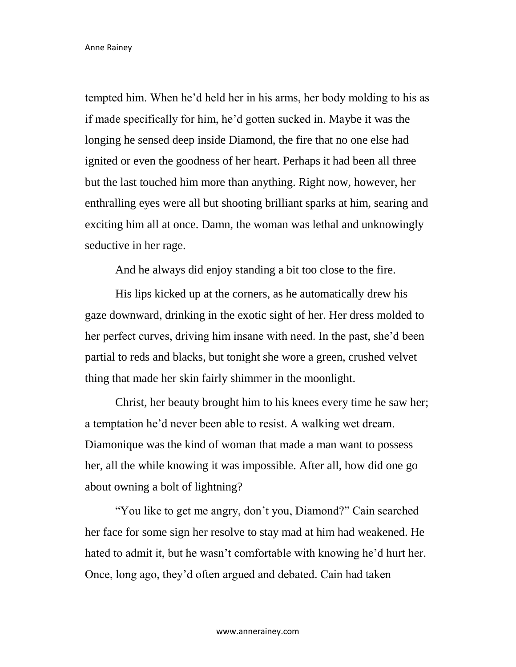Anne Rainey

tempted him. When he'd held her in his arms, her body molding to his as if made specifically for him, he'd gotten sucked in. Maybe it was the longing he sensed deep inside Diamond, the fire that no one else had ignited or even the goodness of her heart. Perhaps it had been all three but the last touched him more than anything. Right now, however, her enthralling eyes were all but shooting brilliant sparks at him, searing and exciting him all at once. Damn, the woman was lethal and unknowingly seductive in her rage.

And he always did enjoy standing a bit too close to the fire.

His lips kicked up at the corners, as he automatically drew his gaze downward, drinking in the exotic sight of her. Her dress molded to her perfect curves, driving him insane with need. In the past, she'd been partial to reds and blacks, but tonight she wore a green, crushed velvet thing that made her skin fairly shimmer in the moonlight.

Christ, her beauty brought him to his knees every time he saw her; a temptation he'd never been able to resist. A walking wet dream. Diamonique was the kind of woman that made a man want to possess her, all the while knowing it was impossible. After all, how did one go about owning a bolt of lightning?

"You like to get me angry, don't you, Diamond?" Cain searched her face for some sign her resolve to stay mad at him had weakened. He hated to admit it, but he wasn't comfortable with knowing he'd hurt her. Once, long ago, they'd often argued and debated. Cain had taken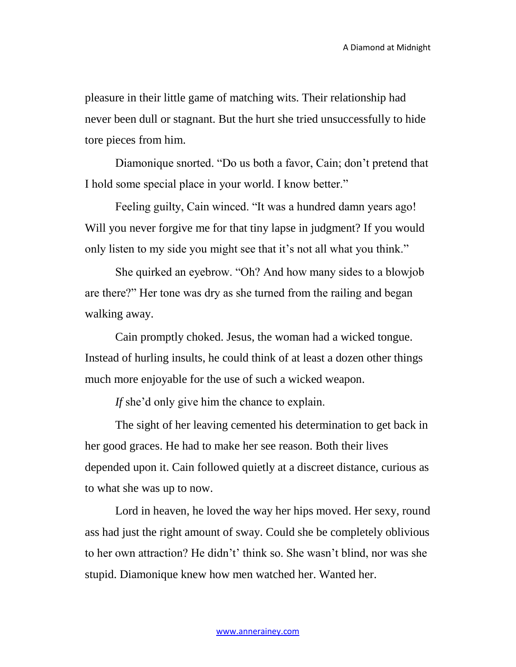pleasure in their little game of matching wits. Their relationship had never been dull or stagnant. But the hurt she tried unsuccessfully to hide tore pieces from him.

Diamonique snorted. "Do us both a favor, Cain; don't pretend that I hold some special place in your world. I know better."

Feeling guilty, Cain winced. "It was a hundred damn years ago! Will you never forgive me for that tiny lapse in judgment? If you would only listen to my side you might see that it's not all what you think."

She quirked an eyebrow. "Oh? And how many sides to a blowjob are there?" Her tone was dry as she turned from the railing and began walking away.

Cain promptly choked. Jesus, the woman had a wicked tongue. Instead of hurling insults, he could think of at least a dozen other things much more enjoyable for the use of such a wicked weapon.

*If* she'd only give him the chance to explain.

The sight of her leaving cemented his determination to get back in her good graces. He had to make her see reason. Both their lives depended upon it. Cain followed quietly at a discreet distance, curious as to what she was up to now.

Lord in heaven, he loved the way her hips moved. Her sexy, round ass had just the right amount of sway. Could she be completely oblivious to her own attraction? He didn't' think so. She wasn't blind, nor was she stupid. Diamonique knew how men watched her. Wanted her.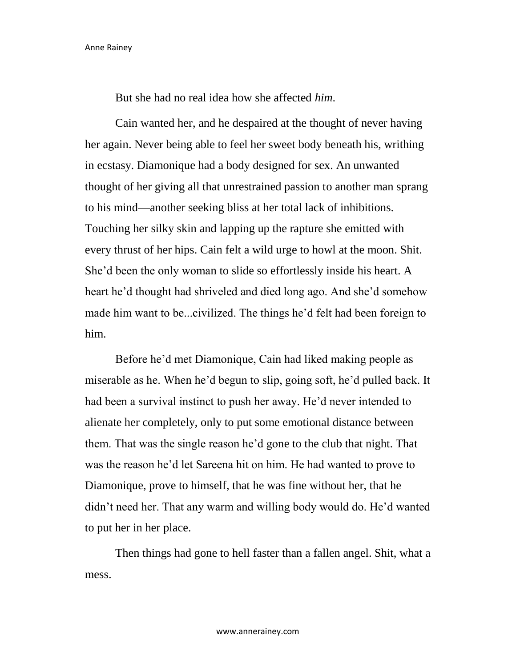But she had no real idea how she affected *him*.

Cain wanted her, and he despaired at the thought of never having her again. Never being able to feel her sweet body beneath his, writhing in ecstasy. Diamonique had a body designed for sex. An unwanted thought of her giving all that unrestrained passion to another man sprang to his mind—another seeking bliss at her total lack of inhibitions. Touching her silky skin and lapping up the rapture she emitted with every thrust of her hips. Cain felt a wild urge to howl at the moon. Shit. She'd been the only woman to slide so effortlessly inside his heart. A heart he'd thought had shriveled and died long ago. And she'd somehow made him want to be...civilized. The things he'd felt had been foreign to him.

Before he'd met Diamonique, Cain had liked making people as miserable as he. When he'd begun to slip, going soft, he'd pulled back. It had been a survival instinct to push her away. He'd never intended to alienate her completely, only to put some emotional distance between them. That was the single reason he'd gone to the club that night. That was the reason he'd let Sareena hit on him. He had wanted to prove to Diamonique, prove to himself, that he was fine without her, that he didn't need her. That any warm and willing body would do. He'd wanted to put her in her place.

Then things had gone to hell faster than a fallen angel. Shit, what a mess.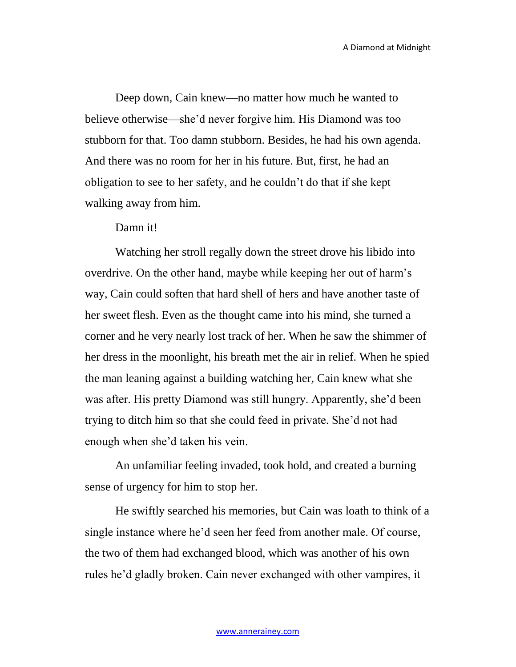Deep down, Cain knew—no matter how much he wanted to believe otherwise—she'd never forgive him. His Diamond was too stubborn for that. Too damn stubborn. Besides, he had his own agenda. And there was no room for her in his future. But, first, he had an obligation to see to her safety, and he couldn't do that if she kept walking away from him.

#### Damn it!

Watching her stroll regally down the street drove his libido into overdrive. On the other hand, maybe while keeping her out of harm's way, Cain could soften that hard shell of hers and have another taste of her sweet flesh. Even as the thought came into his mind, she turned a corner and he very nearly lost track of her. When he saw the shimmer of her dress in the moonlight, his breath met the air in relief. When he spied the man leaning against a building watching her, Cain knew what she was after. His pretty Diamond was still hungry. Apparently, she'd been trying to ditch him so that she could feed in private. She'd not had enough when she'd taken his vein.

An unfamiliar feeling invaded, took hold, and created a burning sense of urgency for him to stop her.

He swiftly searched his memories, but Cain was loath to think of a single instance where he'd seen her feed from another male. Of course, the two of them had exchanged blood, which was another of his own rules he'd gladly broken. Cain never exchanged with other vampires, it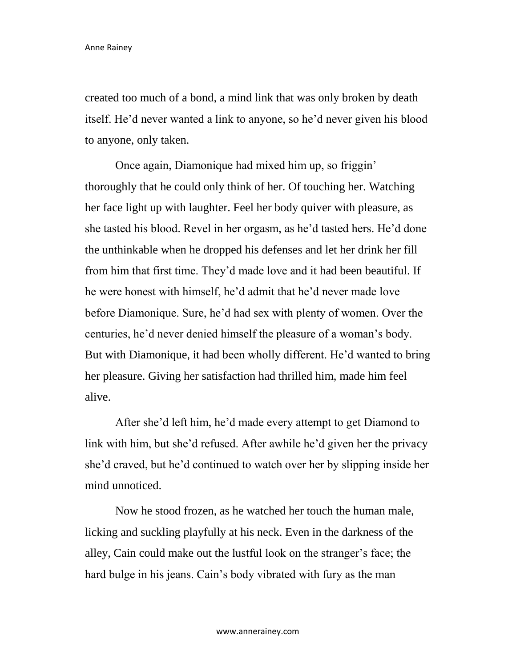Anne Rainey

created too much of a bond, a mind link that was only broken by death itself. He'd never wanted a link to anyone, so he'd never given his blood to anyone, only taken.

Once again, Diamonique had mixed him up, so friggin' thoroughly that he could only think of her. Of touching her. Watching her face light up with laughter. Feel her body quiver with pleasure, as she tasted his blood. Revel in her orgasm, as he'd tasted hers. He'd done the unthinkable when he dropped his defenses and let her drink her fill from him that first time. They'd made love and it had been beautiful. If he were honest with himself, he'd admit that he'd never made love before Diamonique. Sure, he'd had sex with plenty of women. Over the centuries, he'd never denied himself the pleasure of a woman's body. But with Diamonique, it had been wholly different. He'd wanted to bring her pleasure. Giving her satisfaction had thrilled him, made him feel alive.

After she'd left him, he'd made every attempt to get Diamond to link with him, but she'd refused. After awhile he'd given her the privacy she'd craved, but he'd continued to watch over her by slipping inside her mind unnoticed.

Now he stood frozen, as he watched her touch the human male, licking and suckling playfully at his neck. Even in the darkness of the alley, Cain could make out the lustful look on the stranger's face; the hard bulge in his jeans. Cain's body vibrated with fury as the man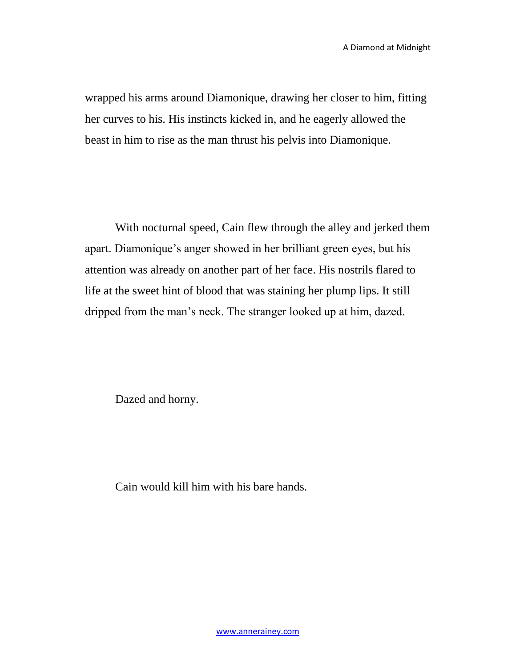wrapped his arms around Diamonique, drawing her closer to him, fitting her curves to his. His instincts kicked in, and he eagerly allowed the beast in him to rise as the man thrust his pelvis into Diamonique.

With nocturnal speed, Cain flew through the alley and jerked them apart. Diamonique's anger showed in her brilliant green eyes, but his attention was already on another part of her face. His nostrils flared to life at the sweet hint of blood that was staining her plump lips. It still dripped from the man's neck. The stranger looked up at him, dazed.

Dazed and horny.

Cain would kill him with his bare hands.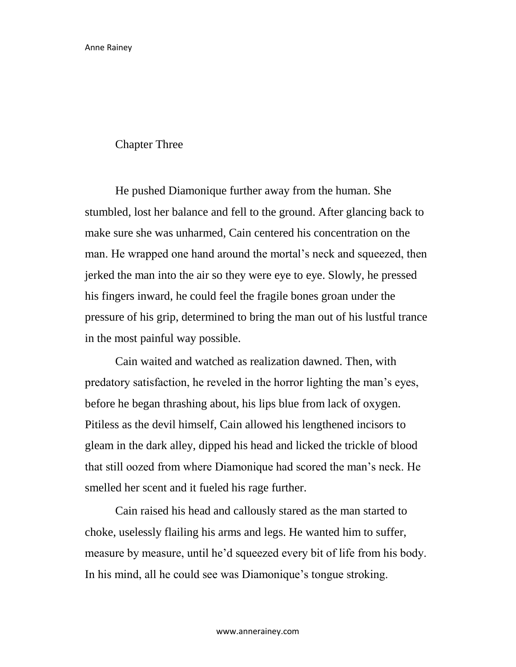#### Chapter Three

He pushed Diamonique further away from the human. She stumbled, lost her balance and fell to the ground. After glancing back to make sure she was unharmed, Cain centered his concentration on the man. He wrapped one hand around the mortal's neck and squeezed, then jerked the man into the air so they were eye to eye. Slowly, he pressed his fingers inward, he could feel the fragile bones groan under the pressure of his grip, determined to bring the man out of his lustful trance in the most painful way possible.

Cain waited and watched as realization dawned. Then, with predatory satisfaction, he reveled in the horror lighting the man's eyes, before he began thrashing about, his lips blue from lack of oxygen. Pitiless as the devil himself, Cain allowed his lengthened incisors to gleam in the dark alley, dipped his head and licked the trickle of blood that still oozed from where Diamonique had scored the man's neck. He smelled her scent and it fueled his rage further.

Cain raised his head and callously stared as the man started to choke, uselessly flailing his arms and legs. He wanted him to suffer, measure by measure, until he'd squeezed every bit of life from his body. In his mind, all he could see was Diamonique's tongue stroking.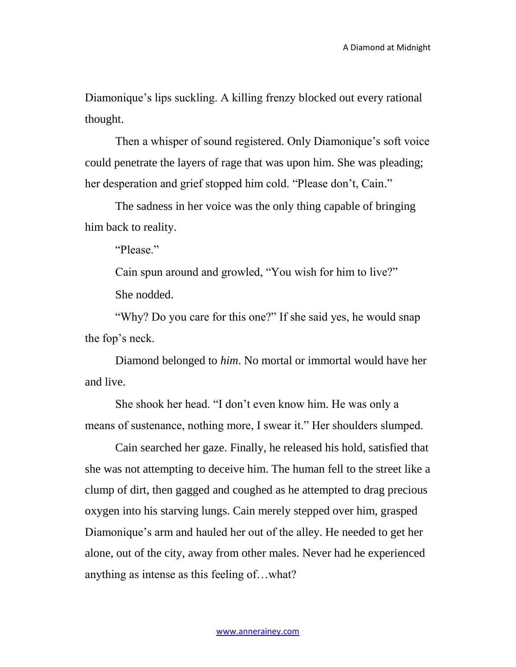Diamonique's lips suckling. A killing frenzy blocked out every rational thought.

Then a whisper of sound registered. Only Diamonique's soft voice could penetrate the layers of rage that was upon him. She was pleading; her desperation and grief stopped him cold. "Please don't, Cain."

The sadness in her voice was the only thing capable of bringing him back to reality.

"Please"

Cain spun around and growled, "You wish for him to live?" She nodded.

"Why? Do you care for this one?" If she said yes, he would snap the fop's neck.

Diamond belonged to *him*. No mortal or immortal would have her and live.

She shook her head. "I don't even know him. He was only a means of sustenance, nothing more, I swear it." Her shoulders slumped.

Cain searched her gaze. Finally, he released his hold, satisfied that she was not attempting to deceive him. The human fell to the street like a clump of dirt, then gagged and coughed as he attempted to drag precious oxygen into his starving lungs. Cain merely stepped over him, grasped Diamonique's arm and hauled her out of the alley. He needed to get her alone, out of the city, away from other males. Never had he experienced anything as intense as this feeling of…what?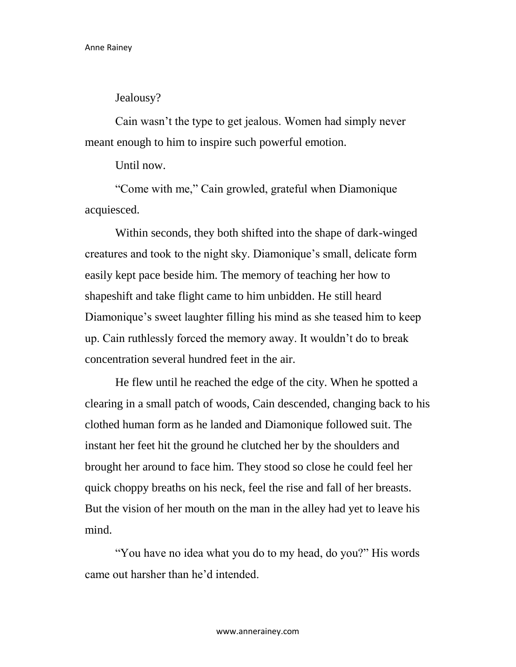#### Jealousy?

Cain wasn't the type to get jealous. Women had simply never meant enough to him to inspire such powerful emotion.

Until now.

"Come with me," Cain growled, grateful when Diamonique acquiesced.

Within seconds, they both shifted into the shape of dark-winged creatures and took to the night sky. Diamonique's small, delicate form easily kept pace beside him. The memory of teaching her how to shapeshift and take flight came to him unbidden. He still heard Diamonique's sweet laughter filling his mind as she teased him to keep up. Cain ruthlessly forced the memory away. It wouldn't do to break concentration several hundred feet in the air.

He flew until he reached the edge of the city. When he spotted a clearing in a small patch of woods, Cain descended, changing back to his clothed human form as he landed and Diamonique followed suit. The instant her feet hit the ground he clutched her by the shoulders and brought her around to face him. They stood so close he could feel her quick choppy breaths on his neck, feel the rise and fall of her breasts. But the vision of her mouth on the man in the alley had yet to leave his mind.

"You have no idea what you do to my head, do you?" His words came out harsher than he'd intended.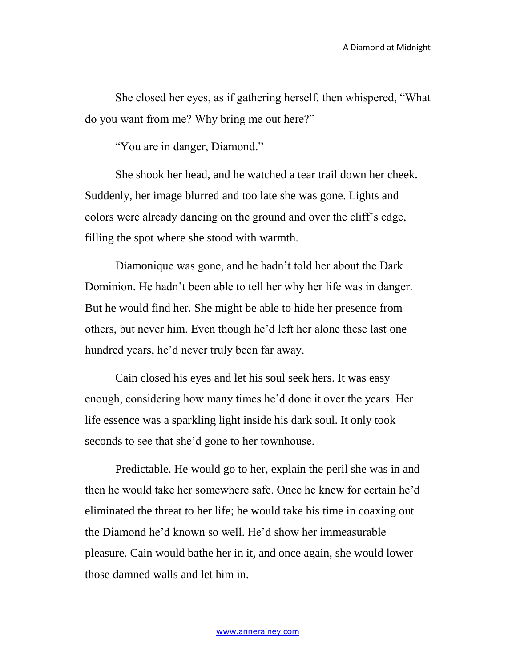She closed her eyes, as if gathering herself, then whispered, "What do you want from me? Why bring me out here?"

"You are in danger, Diamond."

She shook her head, and he watched a tear trail down her cheek. Suddenly, her image blurred and too late she was gone. Lights and colors were already dancing on the ground and over the cliff's edge, filling the spot where she stood with warmth.

Diamonique was gone, and he hadn't told her about the Dark Dominion. He hadn't been able to tell her why her life was in danger. But he would find her. She might be able to hide her presence from others, but never him. Even though he'd left her alone these last one hundred years, he'd never truly been far away.

Cain closed his eyes and let his soul seek hers. It was easy enough, considering how many times he'd done it over the years. Her life essence was a sparkling light inside his dark soul. It only took seconds to see that she'd gone to her townhouse.

Predictable. He would go to her, explain the peril she was in and then he would take her somewhere safe. Once he knew for certain he'd eliminated the threat to her life; he would take his time in coaxing out the Diamond he'd known so well. He'd show her immeasurable pleasure. Cain would bathe her in it, and once again, she would lower those damned walls and let him in.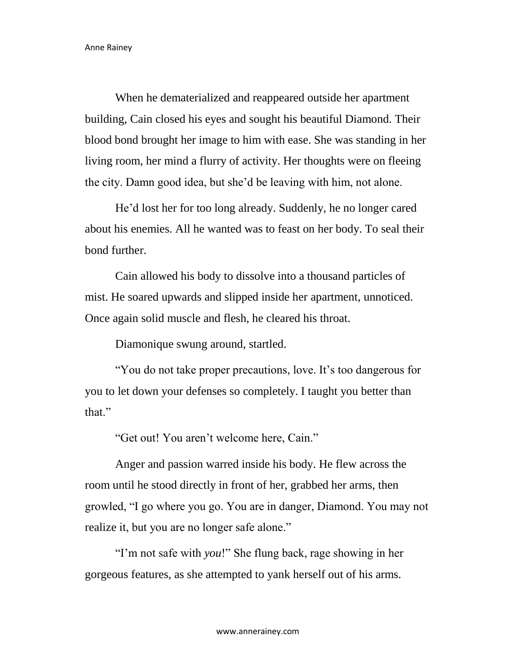When he dematerialized and reappeared outside her apartment building, Cain closed his eyes and sought his beautiful Diamond. Their blood bond brought her image to him with ease. She was standing in her living room, her mind a flurry of activity. Her thoughts were on fleeing the city. Damn good idea, but she'd be leaving with him, not alone.

He'd lost her for too long already. Suddenly, he no longer cared about his enemies. All he wanted was to feast on her body. To seal their bond further.

Cain allowed his body to dissolve into a thousand particles of mist. He soared upwards and slipped inside her apartment, unnoticed. Once again solid muscle and flesh, he cleared his throat.

Diamonique swung around, startled.

"You do not take proper precautions, love. It's too dangerous for you to let down your defenses so completely. I taught you better than that."

"Get out! You aren't welcome here, Cain."

Anger and passion warred inside his body. He flew across the room until he stood directly in front of her, grabbed her arms, then growled, "I go where you go. You are in danger, Diamond. You may not realize it, but you are no longer safe alone."

"I'm not safe with *you*!" She flung back, rage showing in her gorgeous features, as she attempted to yank herself out of his arms.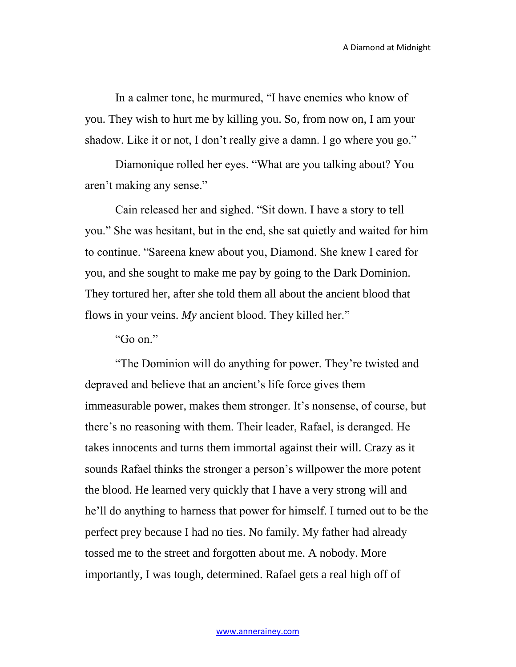In a calmer tone, he murmured, "I have enemies who know of you. They wish to hurt me by killing you. So, from now on, I am your shadow. Like it or not, I don't really give a damn. I go where you go."

Diamonique rolled her eyes. "What are you talking about? You aren't making any sense."

Cain released her and sighed. "Sit down. I have a story to tell you." She was hesitant, but in the end, she sat quietly and waited for him to continue. "Sareena knew about you, Diamond. She knew I cared for you, and she sought to make me pay by going to the Dark Dominion. They tortured her, after she told them all about the ancient blood that flows in your veins. *My* ancient blood. They killed her."

" $G$  on"

"The Dominion will do anything for power. They're twisted and depraved and believe that an ancient's life force gives them immeasurable power, makes them stronger. It's nonsense, of course, but there's no reasoning with them. Their leader, Rafael, is deranged. He takes innocents and turns them immortal against their will. Crazy as it sounds Rafael thinks the stronger a person's willpower the more potent the blood. He learned very quickly that I have a very strong will and he'll do anything to harness that power for himself. I turned out to be the perfect prey because I had no ties. No family. My father had already tossed me to the street and forgotten about me. A nobody. More importantly, I was tough, determined. Rafael gets a real high off of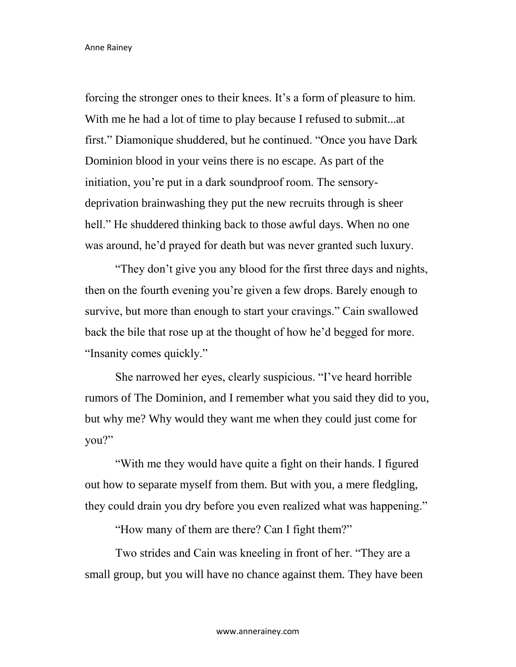Anne Rainey

forcing the stronger ones to their knees. It's a form of pleasure to him. With me he had a lot of time to play because I refused to submit...at first." Diamonique shuddered, but he continued. "Once you have Dark Dominion blood in your veins there is no escape. As part of the initiation, you're put in a dark soundproof room. The sensorydeprivation brainwashing they put the new recruits through is sheer hell." He shuddered thinking back to those awful days. When no one was around, he'd prayed for death but was never granted such luxury.

"They don't give you any blood for the first three days and nights, then on the fourth evening you're given a few drops. Barely enough to survive, but more than enough to start your cravings." Cain swallowed back the bile that rose up at the thought of how he'd begged for more. "Insanity comes quickly."

She narrowed her eyes, clearly suspicious. "I've heard horrible rumors of The Dominion, and I remember what you said they did to you, but why me? Why would they want me when they could just come for you?"

"With me they would have quite a fight on their hands. I figured out how to separate myself from them. But with you, a mere fledgling, they could drain you dry before you even realized what was happening."

"How many of them are there? Can I fight them?"

Two strides and Cain was kneeling in front of her. "They are a small group, but you will have no chance against them. They have been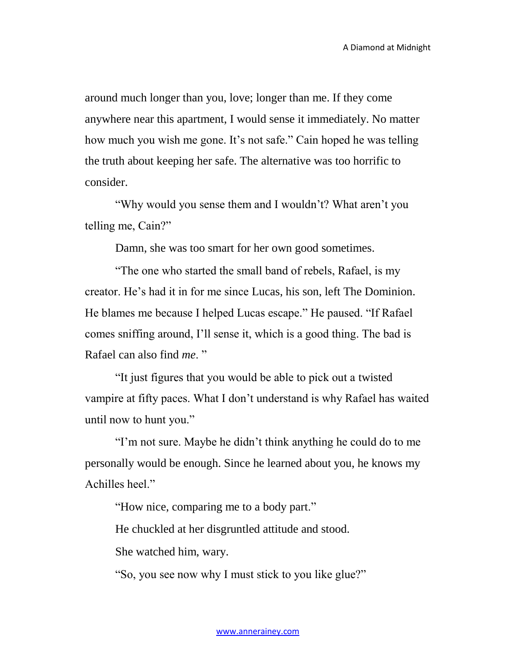around much longer than you, love; longer than me. If they come anywhere near this apartment, I would sense it immediately. No matter how much you wish me gone. It's not safe." Cain hoped he was telling the truth about keeping her safe. The alternative was too horrific to consider.

"Why would you sense them and I wouldn't? What aren't you telling me, Cain?"

Damn, she was too smart for her own good sometimes.

"The one who started the small band of rebels, Rafael, is my creator. He's had it in for me since Lucas, his son, left The Dominion. He blames me because I helped Lucas escape." He paused. "If Rafael comes sniffing around, I'll sense it, which is a good thing. The bad is Rafael can also find *me*. "

"It just figures that you would be able to pick out a twisted vampire at fifty paces. What I don't understand is why Rafael has waited until now to hunt you."

"I'm not sure. Maybe he didn't think anything he could do to me personally would be enough. Since he learned about you, he knows my Achilles heel."

"How nice, comparing me to a body part."

He chuckled at her disgruntled attitude and stood.

She watched him, wary.

"So, you see now why I must stick to you like glue?"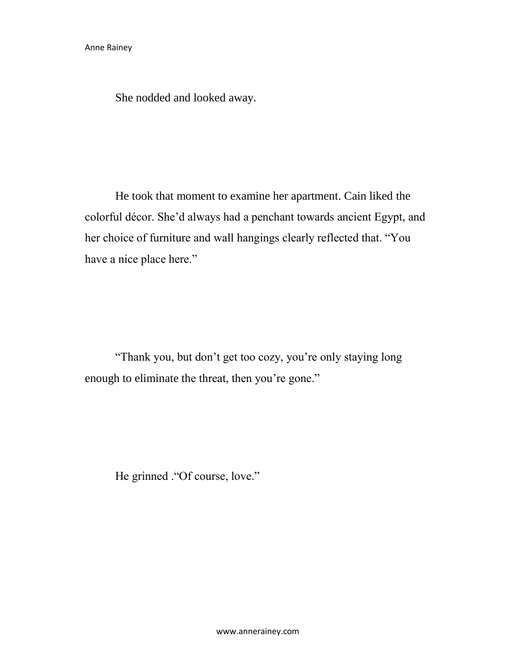She nodded and looked away.

He took that moment to examine her apartment. Cain liked the colorful décor. She'd always had a penchant towards ancient Egypt, and her choice of furniture and wall hangings clearly reflected that. "You have a nice place here."

"Thank you, but don't get too cozy, you're only staying long enough to eliminate the threat, then you're gone."

He grinned ."Of course, love."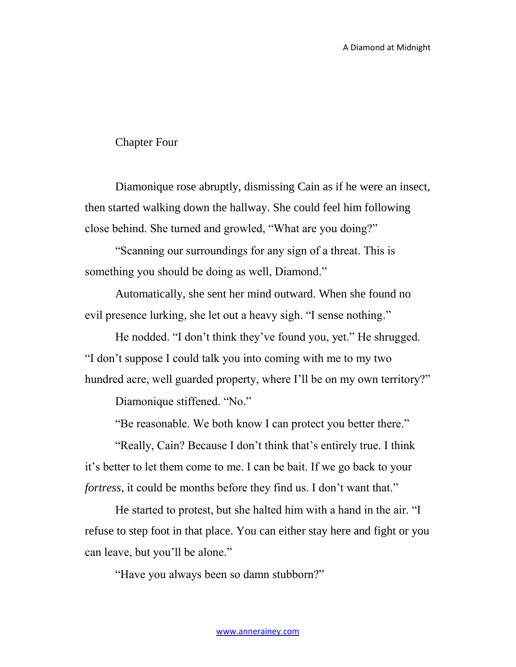## Chapter Four

Diamonique rose abruptly, dismissing Cain as if he were an insect, then started walking down the hallway. She could feel him following close behind. She turned and growled, "What are you doing?"

"Scanning our surroundings for any sign of a threat. This is something you should be doing as well, Diamond."

Automatically, she sent her mind outward. When she found no evil presence lurking, she let out a heavy sigh. "I sense nothing."

He nodded. "I don't think they've found you, yet." He shrugged. "I don't suppose I could talk you into coming with me to my two hundred acre, well guarded property, where I'll be on my own territory?"

Diamonique stiffened. "No."

"Be reasonable. We both know I can protect you better there."

"Really, Cain? Because I don't think that's entirely true. I think it's better to let them come to me. I can be bait. If we go back to your *fortress*, it could be months before they find us. I don't want that."

He started to protest, but she halted him with a hand in the air. "I refuse to step foot in that place. You can either stay here and fight or you can leave, but you'll be alone."

"Have you always been so damn stubborn?"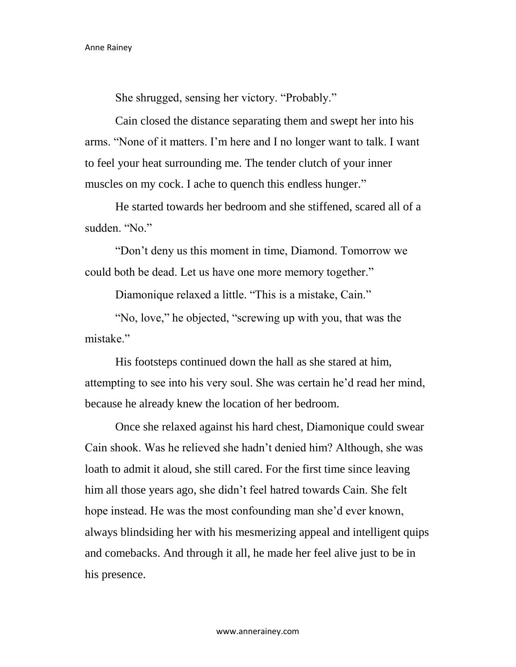She shrugged, sensing her victory. "Probably."

Cain closed the distance separating them and swept her into his arms. "None of it matters. I'm here and I no longer want to talk. I want to feel your heat surrounding me. The tender clutch of your inner muscles on my cock. I ache to quench this endless hunger."

He started towards her bedroom and she stiffened, scared all of a sudden. "No."

"Don't deny us this moment in time, Diamond. Tomorrow we could both be dead. Let us have one more memory together."

Diamonique relaxed a little. "This is a mistake, Cain."

"No, love," he objected, "screwing up with you, that was the mistake."

His footsteps continued down the hall as she stared at him, attempting to see into his very soul. She was certain he'd read her mind, because he already knew the location of her bedroom.

Once she relaxed against his hard chest, Diamonique could swear Cain shook. Was he relieved she hadn't denied him? Although, she was loath to admit it aloud, she still cared. For the first time since leaving him all those years ago, she didn't feel hatred towards Cain. She felt hope instead. He was the most confounding man she'd ever known, always blindsiding her with his mesmerizing appeal and intelligent quips and comebacks. And through it all, he made her feel alive just to be in his presence.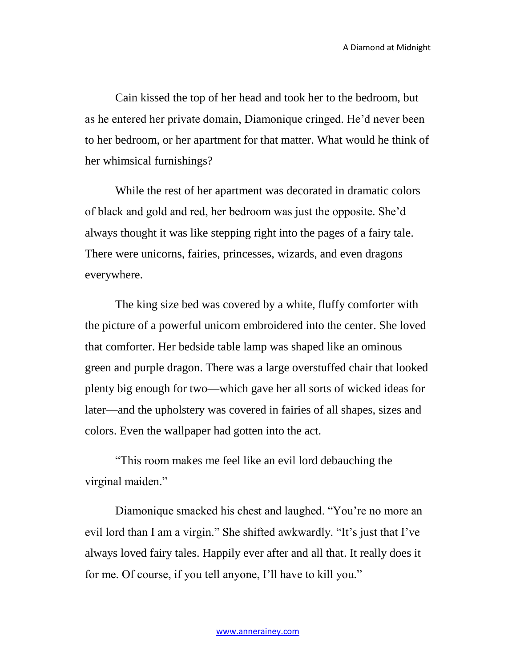Cain kissed the top of her head and took her to the bedroom, but as he entered her private domain, Diamonique cringed. He'd never been to her bedroom, or her apartment for that matter. What would he think of her whimsical furnishings?

While the rest of her apartment was decorated in dramatic colors of black and gold and red, her bedroom was just the opposite. She'd always thought it was like stepping right into the pages of a fairy tale. There were unicorns, fairies, princesses, wizards, and even dragons everywhere.

The king size bed was covered by a white, fluffy comforter with the picture of a powerful unicorn embroidered into the center. She loved that comforter. Her bedside table lamp was shaped like an ominous green and purple dragon. There was a large overstuffed chair that looked plenty big enough for two—which gave her all sorts of wicked ideas for later—and the upholstery was covered in fairies of all shapes, sizes and colors. Even the wallpaper had gotten into the act.

"This room makes me feel like an evil lord debauching the virginal maiden."

Diamonique smacked his chest and laughed. "You're no more an evil lord than I am a virgin." She shifted awkwardly. "It's just that I've always loved fairy tales. Happily ever after and all that. It really does it for me. Of course, if you tell anyone, I'll have to kill you."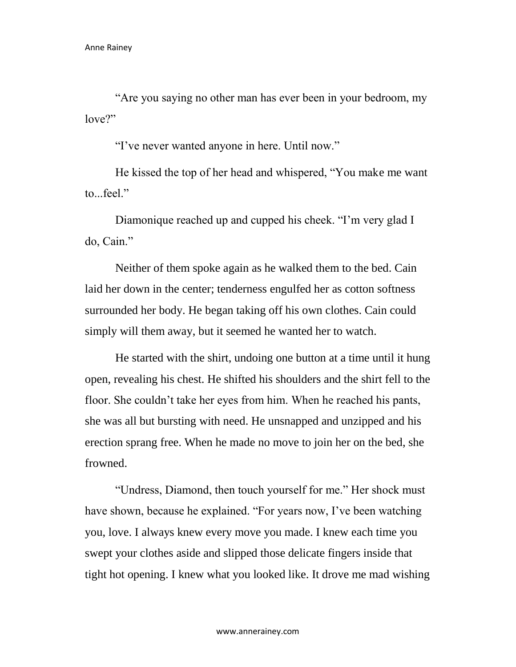"Are you saying no other man has ever been in your bedroom, my love?"

"I've never wanted anyone in here. Until now."

He kissed the top of her head and whispered, "You make me want to...feel."

Diamonique reached up and cupped his cheek. "I'm very glad I do, Cain."

Neither of them spoke again as he walked them to the bed. Cain laid her down in the center; tenderness engulfed her as cotton softness surrounded her body. He began taking off his own clothes. Cain could simply will them away, but it seemed he wanted her to watch.

He started with the shirt, undoing one button at a time until it hung open, revealing his chest. He shifted his shoulders and the shirt fell to the floor. She couldn't take her eyes from him. When he reached his pants, she was all but bursting with need. He unsnapped and unzipped and his erection sprang free. When he made no move to join her on the bed, she frowned.

"Undress, Diamond, then touch yourself for me." Her shock must have shown, because he explained. "For years now, I've been watching you, love. I always knew every move you made. I knew each time you swept your clothes aside and slipped those delicate fingers inside that tight hot opening. I knew what you looked like. It drove me mad wishing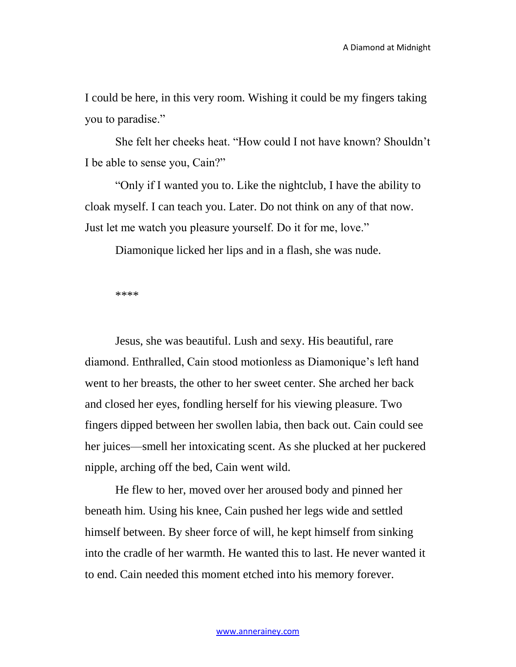I could be here, in this very room. Wishing it could be my fingers taking you to paradise."

She felt her cheeks heat. "How could I not have known? Shouldn't I be able to sense you, Cain?"

"Only if I wanted you to. Like the nightclub, I have the ability to cloak myself. I can teach you. Later. Do not think on any of that now. Just let me watch you pleasure yourself. Do it for me, love."

Diamonique licked her lips and in a flash, she was nude.

\*\*\*\*

Jesus, she was beautiful. Lush and sexy. His beautiful, rare diamond. Enthralled, Cain stood motionless as Diamonique's left hand went to her breasts, the other to her sweet center. She arched her back and closed her eyes, fondling herself for his viewing pleasure. Two fingers dipped between her swollen labia, then back out. Cain could see her juices—smell her intoxicating scent. As she plucked at her puckered nipple, arching off the bed, Cain went wild.

He flew to her, moved over her aroused body and pinned her beneath him. Using his knee, Cain pushed her legs wide and settled himself between. By sheer force of will, he kept himself from sinking into the cradle of her warmth. He wanted this to last. He never wanted it to end. Cain needed this moment etched into his memory forever.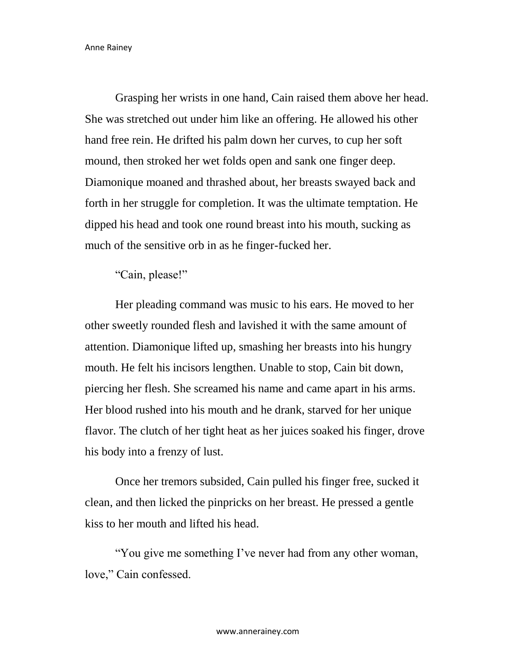Grasping her wrists in one hand, Cain raised them above her head. She was stretched out under him like an offering. He allowed his other hand free rein. He drifted his palm down her curves, to cup her soft mound, then stroked her wet folds open and sank one finger deep. Diamonique moaned and thrashed about, her breasts swayed back and forth in her struggle for completion. It was the ultimate temptation. He dipped his head and took one round breast into his mouth, sucking as much of the sensitive orb in as he finger-fucked her.

"Cain, please!"

Her pleading command was music to his ears. He moved to her other sweetly rounded flesh and lavished it with the same amount of attention. Diamonique lifted up, smashing her breasts into his hungry mouth. He felt his incisors lengthen. Unable to stop, Cain bit down, piercing her flesh. She screamed his name and came apart in his arms. Her blood rushed into his mouth and he drank, starved for her unique flavor. The clutch of her tight heat as her juices soaked his finger, drove his body into a frenzy of lust.

Once her tremors subsided, Cain pulled his finger free, sucked it clean, and then licked the pinpricks on her breast. He pressed a gentle kiss to her mouth and lifted his head.

"You give me something I've never had from any other woman, love," Cain confessed.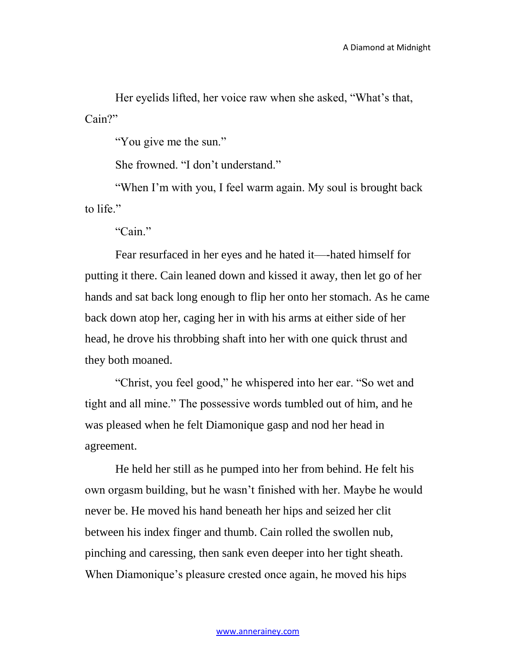Her eyelids lifted, her voice raw when she asked, "What's that, Cain?"

"You give me the sun."

She frowned. "I don't understand."

"When I'm with you, I feel warm again. My soul is brought back to life."

"Cain."

Fear resurfaced in her eyes and he hated it—-hated himself for putting it there. Cain leaned down and kissed it away, then let go of her hands and sat back long enough to flip her onto her stomach. As he came back down atop her, caging her in with his arms at either side of her head, he drove his throbbing shaft into her with one quick thrust and they both moaned.

"Christ, you feel good," he whispered into her ear. "So wet and tight and all mine." The possessive words tumbled out of him, and he was pleased when he felt Diamonique gasp and nod her head in agreement.

He held her still as he pumped into her from behind. He felt his own orgasm building, but he wasn't finished with her. Maybe he would never be. He moved his hand beneath her hips and seized her clit between his index finger and thumb. Cain rolled the swollen nub, pinching and caressing, then sank even deeper into her tight sheath. When Diamonique's pleasure crested once again, he moved his hips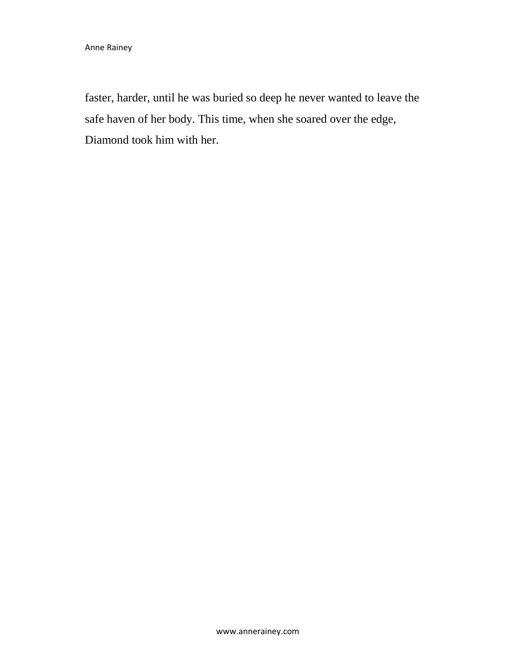faster, harder, until he was buried so deep he never wanted to leave the safe haven of her body. This time, when she soared over the edge, Diamond took him with her.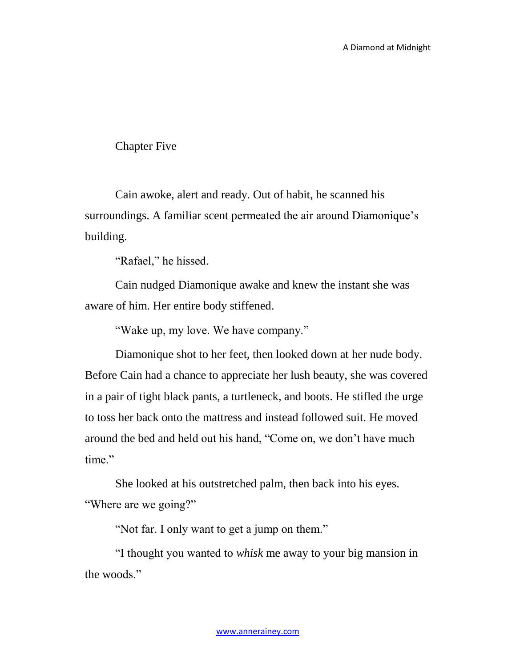## Chapter Five

Cain awoke, alert and ready. Out of habit, he scanned his surroundings. A familiar scent permeated the air around Diamonique's building.

"Rafael," he hissed.

Cain nudged Diamonique awake and knew the instant she was aware of him. Her entire body stiffened.

"Wake up, my love. We have company."

Diamonique shot to her feet, then looked down at her nude body. Before Cain had a chance to appreciate her lush beauty, she was covered in a pair of tight black pants, a turtleneck, and boots. He stifled the urge to toss her back onto the mattress and instead followed suit. He moved around the bed and held out his hand, "Come on, we don't have much time."

She looked at his outstretched palm, then back into his eyes. "Where are we going?"

"Not far. I only want to get a jump on them."

"I thought you wanted to *whisk* me away to your big mansion in the woods."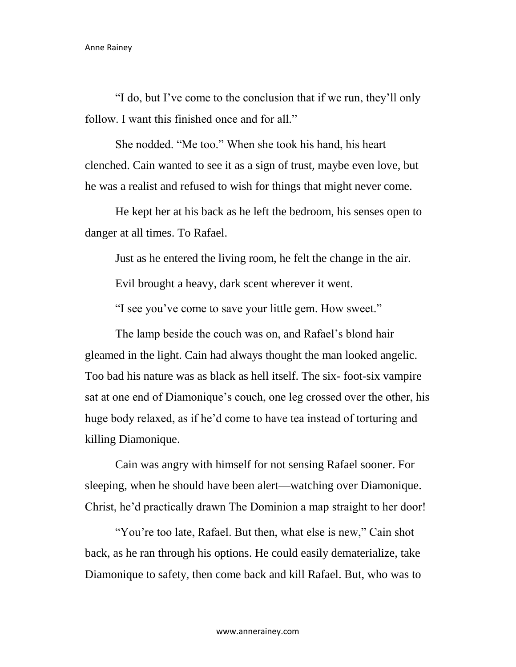"I do, but I've come to the conclusion that if we run, they'll only follow. I want this finished once and for all."

She nodded. "Me too." When she took his hand, his heart clenched. Cain wanted to see it as a sign of trust, maybe even love, but he was a realist and refused to wish for things that might never come.

He kept her at his back as he left the bedroom, his senses open to danger at all times. To Rafael.

Just as he entered the living room, he felt the change in the air.

Evil brought a heavy, dark scent wherever it went.

"I see you've come to save your little gem. How sweet."

The lamp beside the couch was on, and Rafael's blond hair gleamed in the light. Cain had always thought the man looked angelic. Too bad his nature was as black as hell itself. The six- foot-six vampire sat at one end of Diamonique's couch, one leg crossed over the other, his huge body relaxed, as if he'd come to have tea instead of torturing and killing Diamonique.

Cain was angry with himself for not sensing Rafael sooner. For sleeping, when he should have been alert—watching over Diamonique. Christ, he'd practically drawn The Dominion a map straight to her door!

"You're too late, Rafael. But then, what else is new," Cain shot back, as he ran through his options. He could easily dematerialize, take Diamonique to safety, then come back and kill Rafael. But, who was to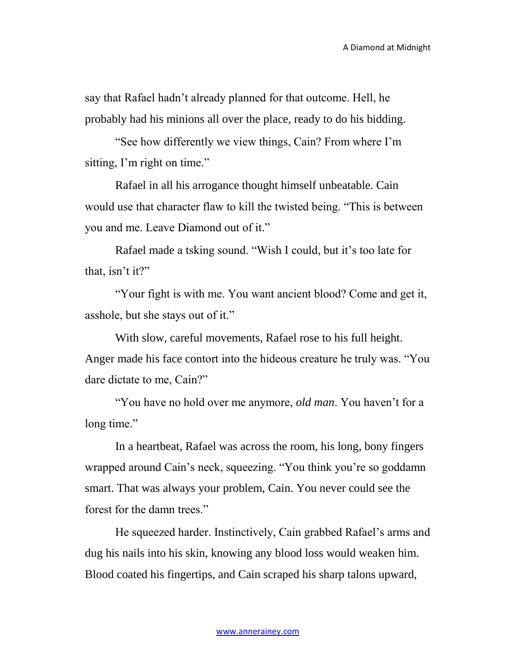say that Rafael hadn't already planned for that outcome. Hell, he probably had his minions all over the place, ready to do his bidding.

"See how differently we view things, Cain? From where I'm sitting, I'm right on time."

Rafael in all his arrogance thought himself unbeatable. Cain would use that character flaw to kill the twisted being. "This is between you and me. Leave Diamond out of it."

Rafael made a tsking sound. "Wish I could, but it's too late for that, isn't it?"

"Your fight is with me. You want ancient blood? Come and get it, asshole, but she stays out of it."

With slow, careful movements, Rafael rose to his full height. Anger made his face contort into the hideous creature he truly was. "You dare dictate to me, Cain?"

"You have no hold over me anymore, *old man*. You haven't for a long time."

In a heartbeat, Rafael was across the room, his long, bony fingers wrapped around Cain's neck, squeezing. "You think you're so goddamn smart. That was always your problem, Cain. You never could see the forest for the damn trees."

He squeezed harder. Instinctively, Cain grabbed Rafael's arms and dug his nails into his skin, knowing any blood loss would weaken him. Blood coated his fingertips, and Cain scraped his sharp talons upward,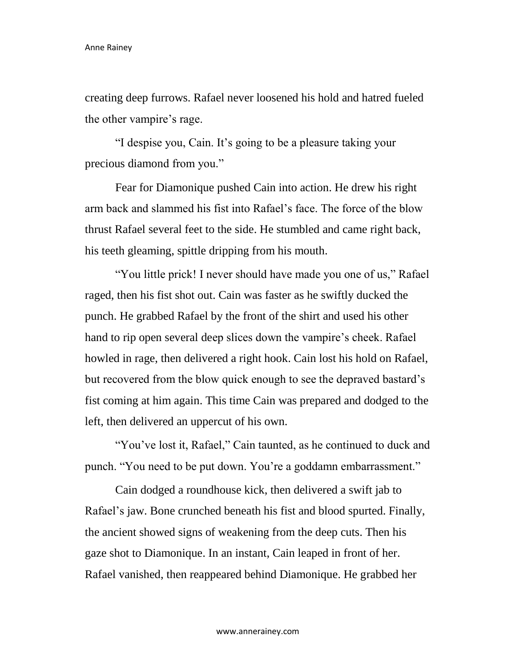creating deep furrows. Rafael never loosened his hold and hatred fueled the other vampire's rage.

"I despise you, Cain. It's going to be a pleasure taking your precious diamond from you."

Fear for Diamonique pushed Cain into action. He drew his right arm back and slammed his fist into Rafael's face. The force of the blow thrust Rafael several feet to the side. He stumbled and came right back, his teeth gleaming, spittle dripping from his mouth.

"You little prick! I never should have made you one of us," Rafael raged, then his fist shot out. Cain was faster as he swiftly ducked the punch. He grabbed Rafael by the front of the shirt and used his other hand to rip open several deep slices down the vampire's cheek. Rafael howled in rage, then delivered a right hook. Cain lost his hold on Rafael, but recovered from the blow quick enough to see the depraved bastard's fist coming at him again. This time Cain was prepared and dodged to the left, then delivered an uppercut of his own.

"You've lost it, Rafael," Cain taunted, as he continued to duck and punch. "You need to be put down. You're a goddamn embarrassment."

Cain dodged a roundhouse kick, then delivered a swift jab to Rafael's jaw. Bone crunched beneath his fist and blood spurted. Finally, the ancient showed signs of weakening from the deep cuts. Then his gaze shot to Diamonique. In an instant, Cain leaped in front of her. Rafael vanished, then reappeared behind Diamonique. He grabbed her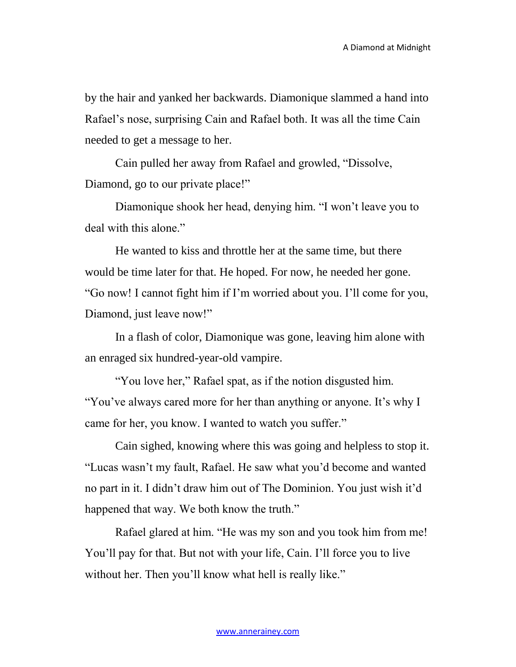by the hair and yanked her backwards. Diamonique slammed a hand into Rafael's nose, surprising Cain and Rafael both. It was all the time Cain needed to get a message to her.

Cain pulled her away from Rafael and growled, "Dissolve, Diamond, go to our private place!"

Diamonique shook her head, denying him. "I won't leave you to deal with this alone."

He wanted to kiss and throttle her at the same time, but there would be time later for that. He hoped. For now, he needed her gone. "Go now! I cannot fight him if I'm worried about you. I'll come for you, Diamond, just leave now!"

In a flash of color, Diamonique was gone, leaving him alone with an enraged six hundred-year-old vampire.

"You love her," Rafael spat, as if the notion disgusted him. "You've always cared more for her than anything or anyone. It's why I came for her, you know. I wanted to watch you suffer."

Cain sighed, knowing where this was going and helpless to stop it. "Lucas wasn't my fault, Rafael. He saw what you'd become and wanted no part in it. I didn't draw him out of The Dominion. You just wish it'd happened that way. We both know the truth."

Rafael glared at him. "He was my son and you took him from me! You'll pay for that. But not with your life, Cain. I'll force you to live without her. Then you'll know what hell is really like."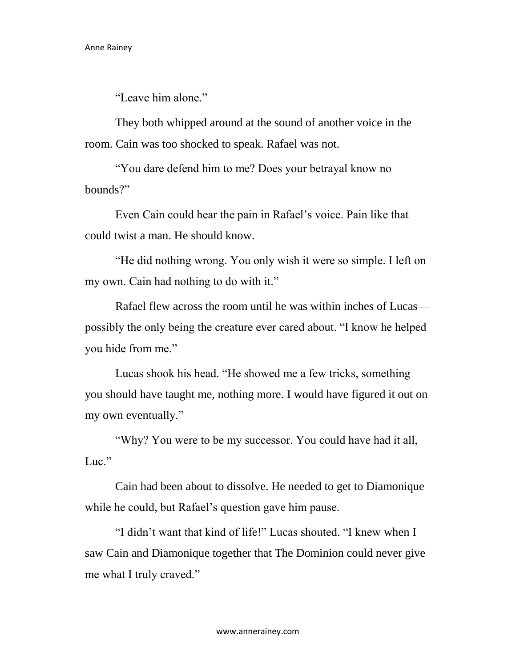"Leave him alone."

They both whipped around at the sound of another voice in the room. Cain was too shocked to speak. Rafael was not.

"You dare defend him to me? Does your betrayal know no bounds?"

Even Cain could hear the pain in Rafael's voice. Pain like that could twist a man. He should know.

"He did nothing wrong. You only wish it were so simple. I left on my own. Cain had nothing to do with it."

Rafael flew across the room until he was within inches of Lucas possibly the only being the creature ever cared about. "I know he helped you hide from me."

Lucas shook his head. "He showed me a few tricks, something you should have taught me, nothing more. I would have figured it out on my own eventually."

"Why? You were to be my successor. You could have had it all, Luc."

Cain had been about to dissolve. He needed to get to Diamonique while he could, but Rafael's question gave him pause.

"I didn't want that kind of life!" Lucas shouted. "I knew when I saw Cain and Diamonique together that The Dominion could never give me what I truly craved."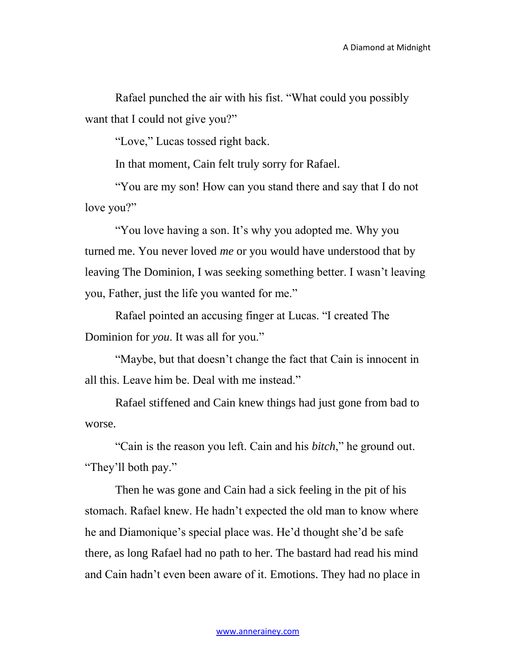Rafael punched the air with his fist. "What could you possibly want that I could not give you?"

"Love," Lucas tossed right back.

In that moment, Cain felt truly sorry for Rafael.

"You are my son! How can you stand there and say that I do not love you?"

"You love having a son. It's why you adopted me. Why you turned me. You never loved *me* or you would have understood that by leaving The Dominion, I was seeking something better. I wasn't leaving you, Father, just the life you wanted for me."

Rafael pointed an accusing finger at Lucas. "I created The Dominion for *you*. It was all for you."

"Maybe, but that doesn't change the fact that Cain is innocent in all this. Leave him be. Deal with me instead."

Rafael stiffened and Cain knew things had just gone from bad to worse.

"Cain is the reason you left. Cain and his *bitch*," he ground out. "They'll both pay."

Then he was gone and Cain had a sick feeling in the pit of his stomach. Rafael knew. He hadn't expected the old man to know where he and Diamonique's special place was. He'd thought she'd be safe there, as long Rafael had no path to her. The bastard had read his mind and Cain hadn't even been aware of it. Emotions. They had no place in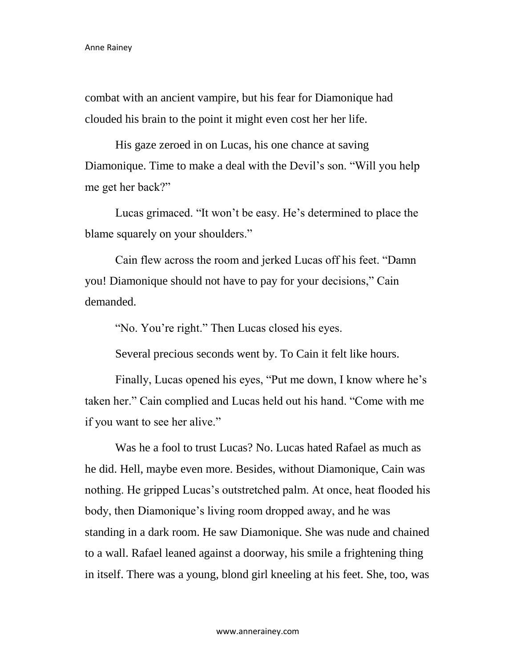combat with an ancient vampire, but his fear for Diamonique had clouded his brain to the point it might even cost her her life.

His gaze zeroed in on Lucas, his one chance at saving Diamonique. Time to make a deal with the Devil's son. "Will you help me get her back?"

Lucas grimaced. "It won't be easy. He's determined to place the blame squarely on your shoulders."

Cain flew across the room and jerked Lucas off his feet. "Damn you! Diamonique should not have to pay for your decisions," Cain demanded.

"No. You're right." Then Lucas closed his eyes.

Several precious seconds went by. To Cain it felt like hours.

Finally, Lucas opened his eyes, "Put me down, I know where he's taken her." Cain complied and Lucas held out his hand. "Come with me if you want to see her alive."

Was he a fool to trust Lucas? No. Lucas hated Rafael as much as he did. Hell, maybe even more. Besides, without Diamonique, Cain was nothing. He gripped Lucas's outstretched palm. At once, heat flooded his body, then Diamonique's living room dropped away, and he was standing in a dark room. He saw Diamonique. She was nude and chained to a wall. Rafael leaned against a doorway, his smile a frightening thing in itself. There was a young, blond girl kneeling at his feet. She, too, was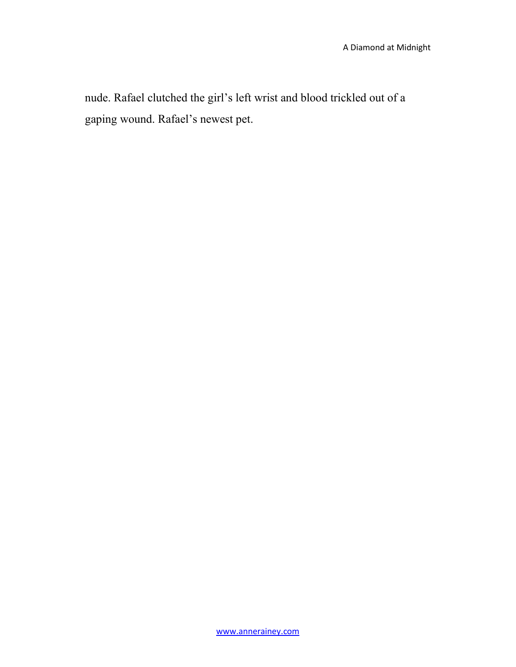nude. Rafael clutched the girl's left wrist and blood trickled out of a gaping wound. Rafael's newest pet.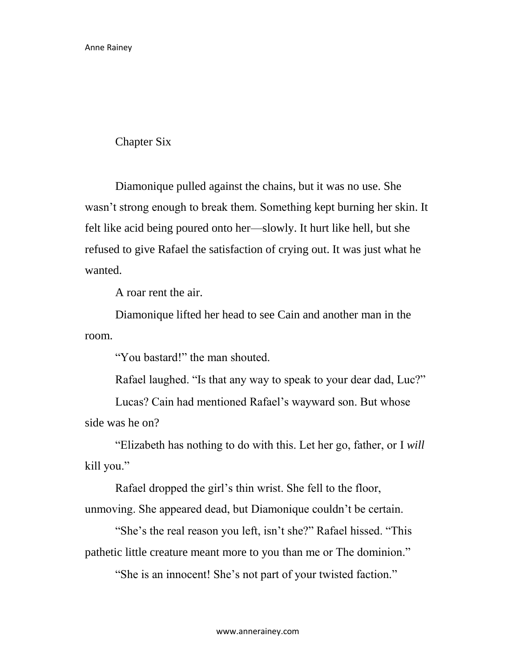## Chapter Six

Diamonique pulled against the chains, but it was no use. She wasn't strong enough to break them. Something kept burning her skin. It felt like acid being poured onto her—slowly. It hurt like hell, but she refused to give Rafael the satisfaction of crying out. It was just what he wanted.

A roar rent the air.

Diamonique lifted her head to see Cain and another man in the room.

"You bastard!" the man shouted.

Rafael laughed. "Is that any way to speak to your dear dad, Luc?"

Lucas? Cain had mentioned Rafael's wayward son. But whose side was he on?

"Elizabeth has nothing to do with this. Let her go, father, or I *will* kill you."

Rafael dropped the girl's thin wrist. She fell to the floor,

unmoving. She appeared dead, but Diamonique couldn't be certain.

"She's the real reason you left, isn't she?" Rafael hissed. "This pathetic little creature meant more to you than me or The dominion."

"She is an innocent! She's not part of your twisted faction."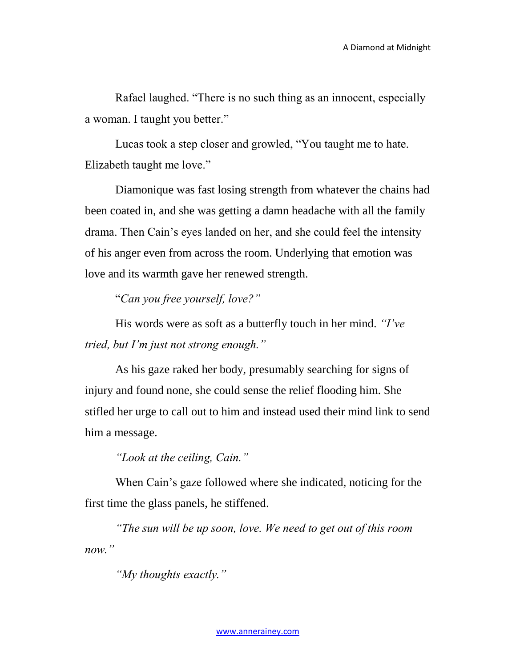Rafael laughed. "There is no such thing as an innocent, especially a woman. I taught you better."

Lucas took a step closer and growled, "You taught me to hate. Elizabeth taught me love."

Diamonique was fast losing strength from whatever the chains had been coated in, and she was getting a damn headache with all the family drama. Then Cain's eyes landed on her, and she could feel the intensity of his anger even from across the room. Underlying that emotion was love and its warmth gave her renewed strength.

"*Can you free yourself, love?"*

His words were as soft as a butterfly touch in her mind. *"I've tried, but I'm just not strong enough."* 

As his gaze raked her body, presumably searching for signs of injury and found none, she could sense the relief flooding him. She stifled her urge to call out to him and instead used their mind link to send him a message.

*"Look at the ceiling, Cain."*

When Cain's gaze followed where she indicated, noticing for the first time the glass panels, he stiffened.

*"The sun will be up soon, love. We need to get out of this room now."* 

*"My thoughts exactly."*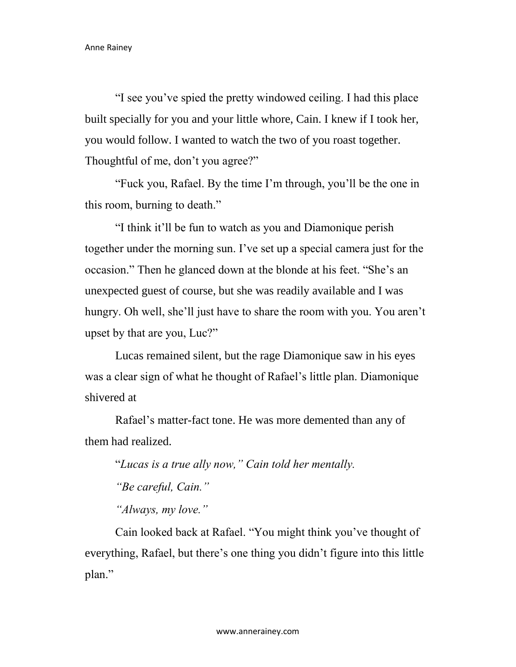"I see you've spied the pretty windowed ceiling. I had this place built specially for you and your little whore, Cain. I knew if I took her, you would follow. I wanted to watch the two of you roast together. Thoughtful of me, don't you agree?"

"Fuck you, Rafael. By the time I'm through, you'll be the one in this room, burning to death."

"I think it'll be fun to watch as you and Diamonique perish together under the morning sun. I've set up a special camera just for the occasion." Then he glanced down at the blonde at his feet. "She's an unexpected guest of course, but she was readily available and I was hungry. Oh well, she'll just have to share the room with you. You aren't upset by that are you, Luc?"

Lucas remained silent, but the rage Diamonique saw in his eyes was a clear sign of what he thought of Rafael's little plan. Diamonique shivered at

Rafael's matter-fact tone. He was more demented than any of them had realized.

"*Lucas is a true ally now," Cain told her mentally. "Be careful, Cain."* 

*"Always, my love."* 

Cain looked back at Rafael. "You might think you've thought of everything, Rafael, but there's one thing you didn't figure into this little plan."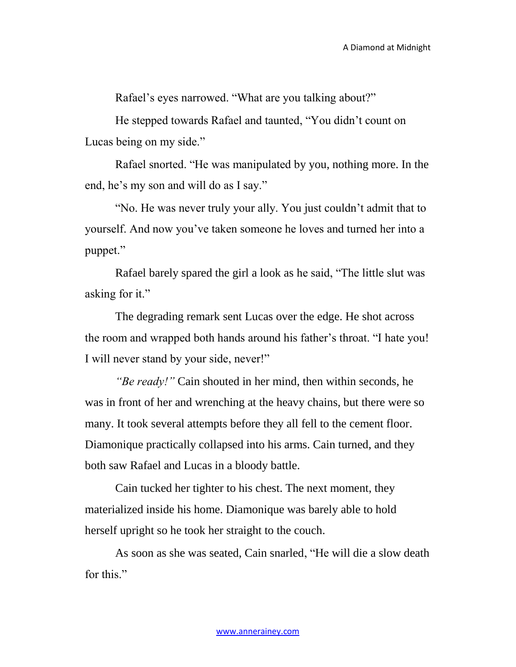Rafael's eyes narrowed. "What are you talking about?"

He stepped towards Rafael and taunted, "You didn't count on Lucas being on my side."

Rafael snorted. "He was manipulated by you, nothing more. In the end, he's my son and will do as I say."

"No. He was never truly your ally. You just couldn't admit that to yourself. And now you've taken someone he loves and turned her into a puppet."

Rafael barely spared the girl a look as he said, "The little slut was asking for it."

The degrading remark sent Lucas over the edge. He shot across the room and wrapped both hands around his father's throat. "I hate you! I will never stand by your side, never!"

*"Be ready!"* Cain shouted in her mind, then within seconds, he was in front of her and wrenching at the heavy chains, but there were so many. It took several attempts before they all fell to the cement floor. Diamonique practically collapsed into his arms. Cain turned, and they both saw Rafael and Lucas in a bloody battle.

Cain tucked her tighter to his chest. The next moment, they materialized inside his home. Diamonique was barely able to hold herself upright so he took her straight to the couch.

As soon as she was seated, Cain snarled, "He will die a slow death for this."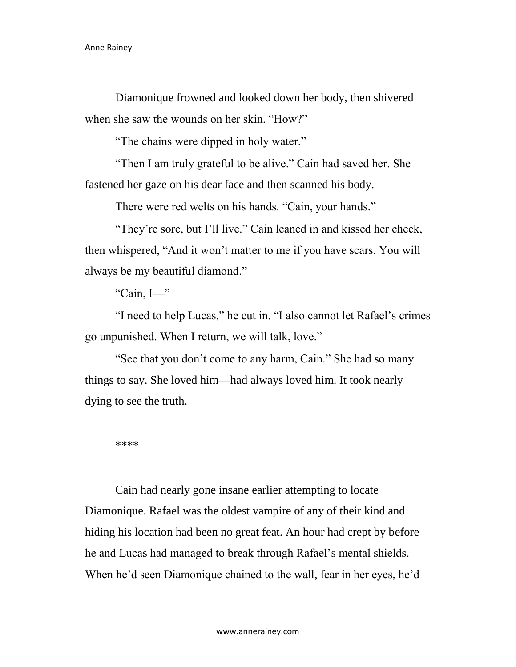Diamonique frowned and looked down her body, then shivered when she saw the wounds on her skin. "How?"

"The chains were dipped in holy water."

"Then I am truly grateful to be alive." Cain had saved her. She fastened her gaze on his dear face and then scanned his body.

There were red welts on his hands. "Cain, your hands."

"They're sore, but I'll live." Cain leaned in and kissed her cheek, then whispered, "And it won't matter to me if you have scars. You will always be my beautiful diamond."

"Cain,  $I$ —"

"I need to help Lucas," he cut in. "I also cannot let Rafael's crimes go unpunished. When I return, we will talk, love."

"See that you don't come to any harm, Cain." She had so many things to say. She loved him—had always loved him. It took nearly dying to see the truth.

\*\*\*\*

Cain had nearly gone insane earlier attempting to locate Diamonique. Rafael was the oldest vampire of any of their kind and hiding his location had been no great feat. An hour had crept by before he and Lucas had managed to break through Rafael's mental shields. When he'd seen Diamonique chained to the wall, fear in her eyes, he'd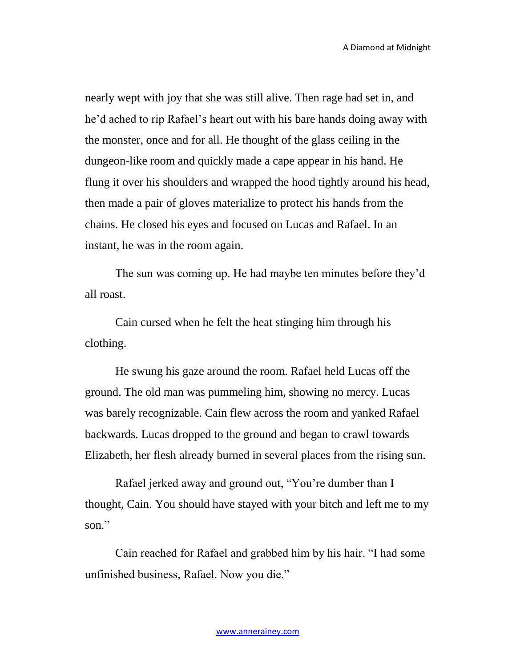nearly wept with joy that she was still alive. Then rage had set in, and he'd ached to rip Rafael's heart out with his bare hands doing away with the monster, once and for all. He thought of the glass ceiling in the dungeon-like room and quickly made a cape appear in his hand. He flung it over his shoulders and wrapped the hood tightly around his head, then made a pair of gloves materialize to protect his hands from the chains. He closed his eyes and focused on Lucas and Rafael. In an instant, he was in the room again.

The sun was coming up. He had maybe ten minutes before they'd all roast.

Cain cursed when he felt the heat stinging him through his clothing.

He swung his gaze around the room. Rafael held Lucas off the ground. The old man was pummeling him, showing no mercy. Lucas was barely recognizable. Cain flew across the room and yanked Rafael backwards. Lucas dropped to the ground and began to crawl towards Elizabeth, her flesh already burned in several places from the rising sun.

Rafael jerked away and ground out, "You're dumber than I thought, Cain. You should have stayed with your bitch and left me to my son."

Cain reached for Rafael and grabbed him by his hair. "I had some unfinished business, Rafael. Now you die."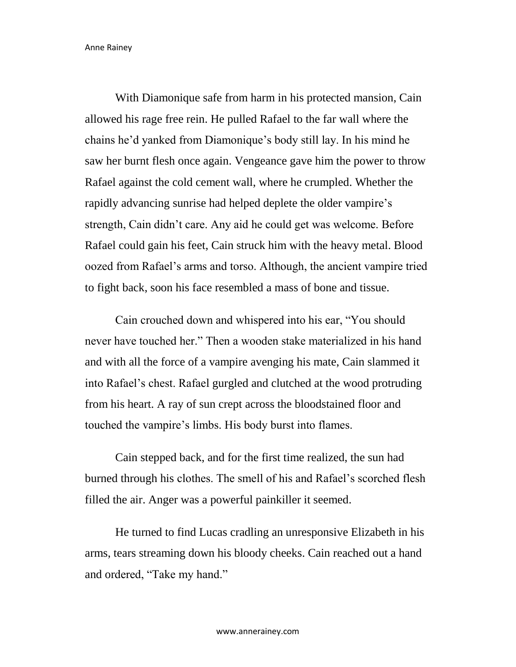With Diamonique safe from harm in his protected mansion, Cain allowed his rage free rein. He pulled Rafael to the far wall where the chains he'd yanked from Diamonique's body still lay. In his mind he saw her burnt flesh once again. Vengeance gave him the power to throw Rafael against the cold cement wall, where he crumpled. Whether the rapidly advancing sunrise had helped deplete the older vampire's strength, Cain didn't care. Any aid he could get was welcome. Before Rafael could gain his feet, Cain struck him with the heavy metal. Blood oozed from Rafael's arms and torso. Although, the ancient vampire tried to fight back, soon his face resembled a mass of bone and tissue.

Cain crouched down and whispered into his ear, "You should never have touched her." Then a wooden stake materialized in his hand and with all the force of a vampire avenging his mate, Cain slammed it into Rafael's chest. Rafael gurgled and clutched at the wood protruding from his heart. A ray of sun crept across the bloodstained floor and touched the vampire's limbs. His body burst into flames.

Cain stepped back, and for the first time realized, the sun had burned through his clothes. The smell of his and Rafael's scorched flesh filled the air. Anger was a powerful painkiller it seemed.

He turned to find Lucas cradling an unresponsive Elizabeth in his arms, tears streaming down his bloody cheeks. Cain reached out a hand and ordered, "Take my hand."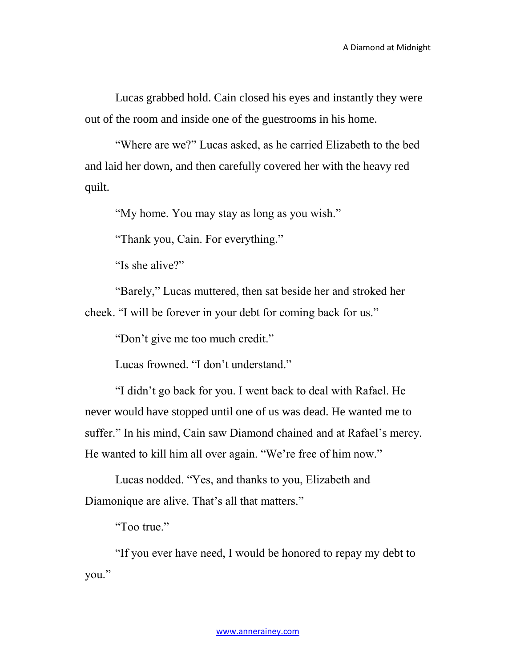Lucas grabbed hold. Cain closed his eyes and instantly they were out of the room and inside one of the guestrooms in his home.

"Where are we?" Lucas asked, as he carried Elizabeth to the bed and laid her down, and then carefully covered her with the heavy red quilt.

"My home. You may stay as long as you wish."

"Thank you, Cain. For everything."

"Is she alive?"

"Barely," Lucas muttered, then sat beside her and stroked her cheek. "I will be forever in your debt for coming back for us."

"Don't give me too much credit."

Lucas frowned. "I don't understand."

"I didn't go back for you. I went back to deal with Rafael. He never would have stopped until one of us was dead. He wanted me to suffer." In his mind, Cain saw Diamond chained and at Rafael's mercy. He wanted to kill him all over again. "We're free of him now."

Lucas nodded. "Yes, and thanks to you, Elizabeth and Diamonique are alive. That's all that matters."

"Too true."

"If you ever have need, I would be honored to repay my debt to you."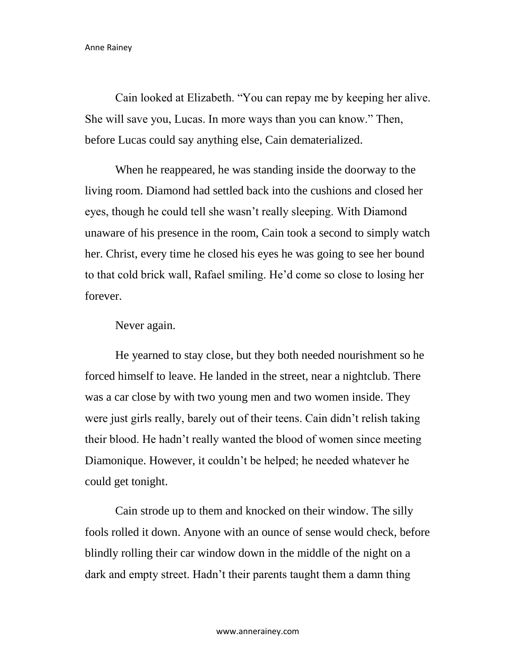Cain looked at Elizabeth. "You can repay me by keeping her alive. She will save you, Lucas. In more ways than you can know." Then, before Lucas could say anything else, Cain dematerialized.

When he reappeared, he was standing inside the doorway to the living room. Diamond had settled back into the cushions and closed her eyes, though he could tell she wasn't really sleeping. With Diamond unaware of his presence in the room, Cain took a second to simply watch her. Christ, every time he closed his eyes he was going to see her bound to that cold brick wall, Rafael smiling. He'd come so close to losing her forever.

Never again.

He yearned to stay close, but they both needed nourishment so he forced himself to leave. He landed in the street, near a nightclub. There was a car close by with two young men and two women inside. They were just girls really, barely out of their teens. Cain didn't relish taking their blood. He hadn't really wanted the blood of women since meeting Diamonique. However, it couldn't be helped; he needed whatever he could get tonight.

Cain strode up to them and knocked on their window. The silly fools rolled it down. Anyone with an ounce of sense would check, before blindly rolling their car window down in the middle of the night on a dark and empty street. Hadn't their parents taught them a damn thing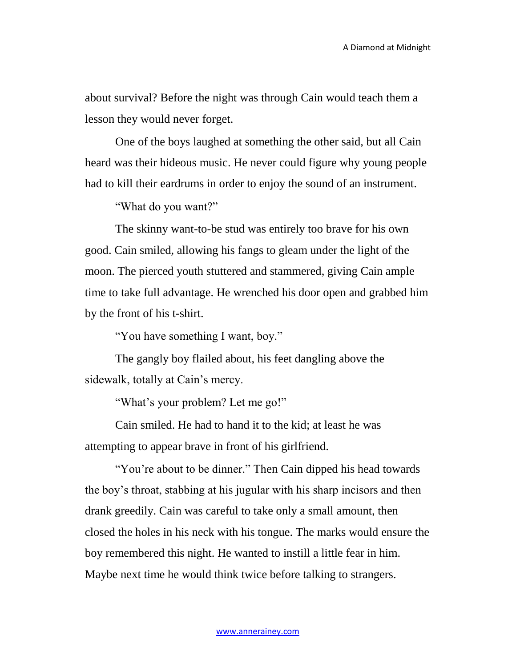about survival? Before the night was through Cain would teach them a lesson they would never forget.

One of the boys laughed at something the other said, but all Cain heard was their hideous music. He never could figure why young people had to kill their eardrums in order to enjoy the sound of an instrument.

"What do you want?"

The skinny want-to-be stud was entirely too brave for his own good. Cain smiled, allowing his fangs to gleam under the light of the moon. The pierced youth stuttered and stammered, giving Cain ample time to take full advantage. He wrenched his door open and grabbed him by the front of his t-shirt.

"You have something I want, boy."

The gangly boy flailed about, his feet dangling above the sidewalk, totally at Cain's mercy.

"What's your problem? Let me go!"

Cain smiled. He had to hand it to the kid; at least he was attempting to appear brave in front of his girlfriend.

"You're about to be dinner." Then Cain dipped his head towards the boy's throat, stabbing at his jugular with his sharp incisors and then drank greedily. Cain was careful to take only a small amount, then closed the holes in his neck with his tongue. The marks would ensure the boy remembered this night. He wanted to instill a little fear in him. Maybe next time he would think twice before talking to strangers.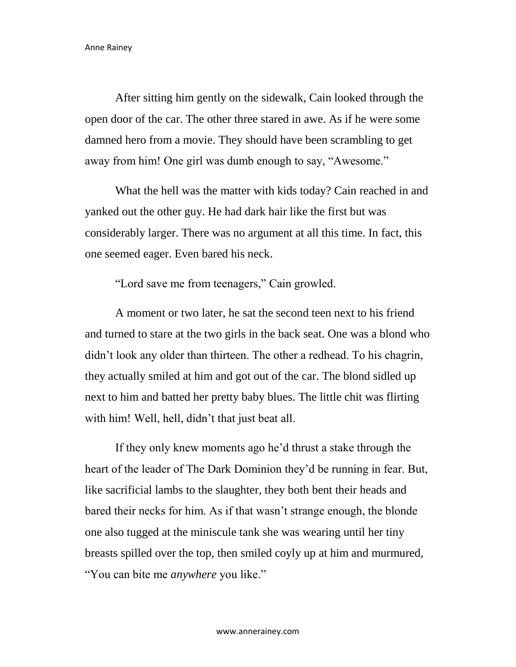After sitting him gently on the sidewalk, Cain looked through the open door of the car. The other three stared in awe. As if he were some damned hero from a movie. They should have been scrambling to get away from him! One girl was dumb enough to say, "Awesome."

What the hell was the matter with kids today? Cain reached in and yanked out the other guy. He had dark hair like the first but was considerably larger. There was no argument at all this time. In fact, this one seemed eager. Even bared his neck.

"Lord save me from teenagers," Cain growled.

A moment or two later, he sat the second teen next to his friend and turned to stare at the two girls in the back seat. One was a blond who didn't look any older than thirteen. The other a redhead. To his chagrin, they actually smiled at him and got out of the car. The blond sidled up next to him and batted her pretty baby blues. The little chit was flirting with him! Well, hell, didn't that just beat all.

If they only knew moments ago he'd thrust a stake through the heart of the leader of The Dark Dominion they'd be running in fear. But, like sacrificial lambs to the slaughter, they both bent their heads and bared their necks for him. As if that wasn't strange enough, the blonde one also tugged at the miniscule tank she was wearing until her tiny breasts spilled over the top, then smiled coyly up at him and murmured, "You can bite me *anywhere* you like."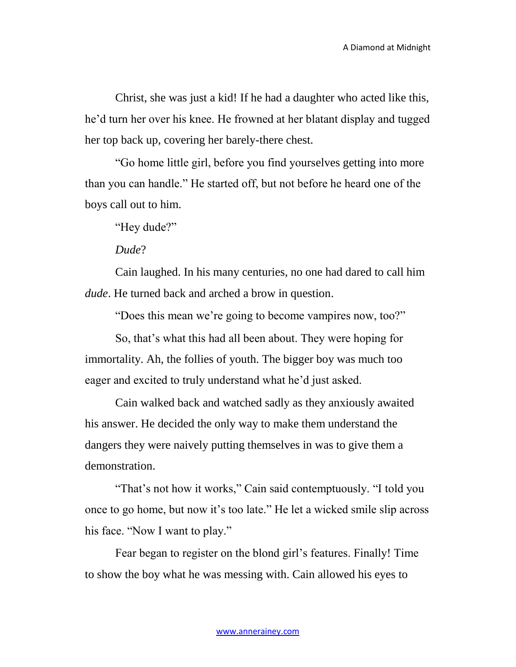Christ, she was just a kid! If he had a daughter who acted like this, he'd turn her over his knee. He frowned at her blatant display and tugged her top back up, covering her barely-there chest.

"Go home little girl, before you find yourselves getting into more than you can handle." He started off, but not before he heard one of the boys call out to him.

"Hey dude?"

*Dude*?

Cain laughed. In his many centuries, no one had dared to call him *dude*. He turned back and arched a brow in question.

"Does this mean we're going to become vampires now, too?"

So, that's what this had all been about. They were hoping for immortality. Ah, the follies of youth. The bigger boy was much too eager and excited to truly understand what he'd just asked.

Cain walked back and watched sadly as they anxiously awaited his answer. He decided the only way to make them understand the dangers they were naively putting themselves in was to give them a demonstration.

"That's not how it works," Cain said contemptuously. "I told you once to go home, but now it's too late." He let a wicked smile slip across his face. "Now I want to play."

Fear began to register on the blond girl's features. Finally! Time to show the boy what he was messing with. Cain allowed his eyes to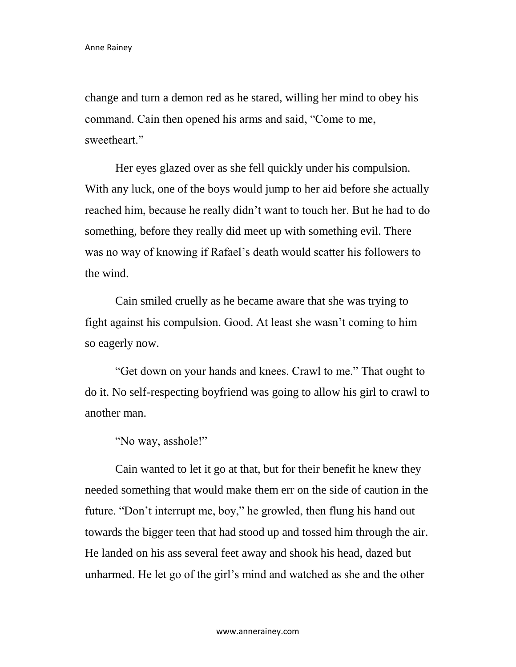change and turn a demon red as he stared, willing her mind to obey his command. Cain then opened his arms and said, "Come to me, sweetheart."

Her eyes glazed over as she fell quickly under his compulsion. With any luck, one of the boys would jump to her aid before she actually reached him, because he really didn't want to touch her. But he had to do something, before they really did meet up with something evil. There was no way of knowing if Rafael's death would scatter his followers to the wind.

Cain smiled cruelly as he became aware that she was trying to fight against his compulsion. Good. At least she wasn't coming to him so eagerly now.

"Get down on your hands and knees. Crawl to me." That ought to do it. No self-respecting boyfriend was going to allow his girl to crawl to another man.

"No way, asshole!"

Cain wanted to let it go at that, but for their benefit he knew they needed something that would make them err on the side of caution in the future. "Don't interrupt me, boy," he growled, then flung his hand out towards the bigger teen that had stood up and tossed him through the air. He landed on his ass several feet away and shook his head, dazed but unharmed. He let go of the girl's mind and watched as she and the other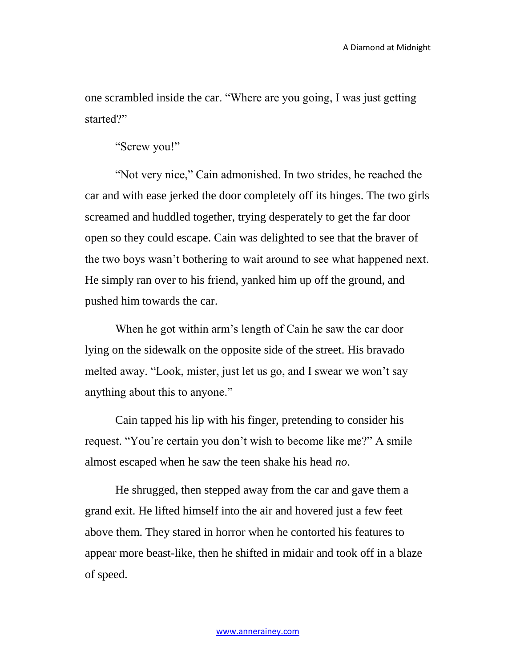one scrambled inside the car. "Where are you going, I was just getting started?"

"Screw you!"

"Not very nice," Cain admonished. In two strides, he reached the car and with ease jerked the door completely off its hinges. The two girls screamed and huddled together, trying desperately to get the far door open so they could escape. Cain was delighted to see that the braver of the two boys wasn't bothering to wait around to see what happened next. He simply ran over to his friend, yanked him up off the ground, and pushed him towards the car.

When he got within arm's length of Cain he saw the car door lying on the sidewalk on the opposite side of the street. His bravado melted away. "Look, mister, just let us go, and I swear we won't say anything about this to anyone."

Cain tapped his lip with his finger, pretending to consider his request. "You're certain you don't wish to become like me?" A smile almost escaped when he saw the teen shake his head *no*.

He shrugged, then stepped away from the car and gave them a grand exit. He lifted himself into the air and hovered just a few feet above them. They stared in horror when he contorted his features to appear more beast-like, then he shifted in midair and took off in a blaze of speed.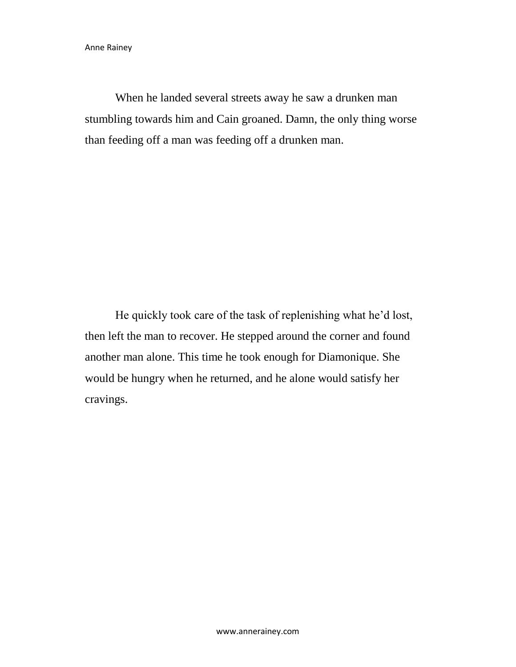Anne Rainey

When he landed several streets away he saw a drunken man stumbling towards him and Cain groaned. Damn, the only thing worse than feeding off a man was feeding off a drunken man.

He quickly took care of the task of replenishing what he'd lost, then left the man to recover. He stepped around the corner and found another man alone. This time he took enough for Diamonique. She would be hungry when he returned, and he alone would satisfy her cravings.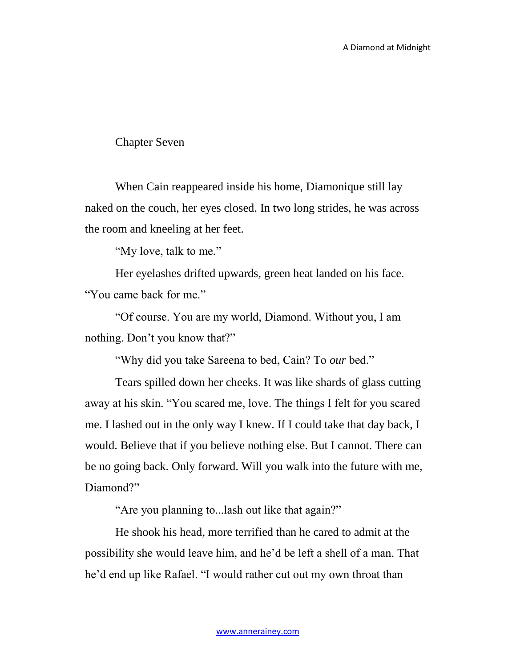## Chapter Seven

When Cain reappeared inside his home, Diamonique still lay naked on the couch, her eyes closed. In two long strides, he was across the room and kneeling at her feet.

"My love, talk to me."

Her eyelashes drifted upwards, green heat landed on his face. "You came back for me."

"Of course. You are my world, Diamond. Without you, I am nothing. Don't you know that?"

"Why did you take Sareena to bed, Cain? To *our* bed."

Tears spilled down her cheeks. It was like shards of glass cutting away at his skin. "You scared me, love. The things I felt for you scared me. I lashed out in the only way I knew. If I could take that day back, I would. Believe that if you believe nothing else. But I cannot. There can be no going back. Only forward. Will you walk into the future with me, Diamond?"

"Are you planning to...lash out like that again?"

He shook his head, more terrified than he cared to admit at the possibility she would leave him, and he'd be left a shell of a man. That he'd end up like Rafael. "I would rather cut out my own throat than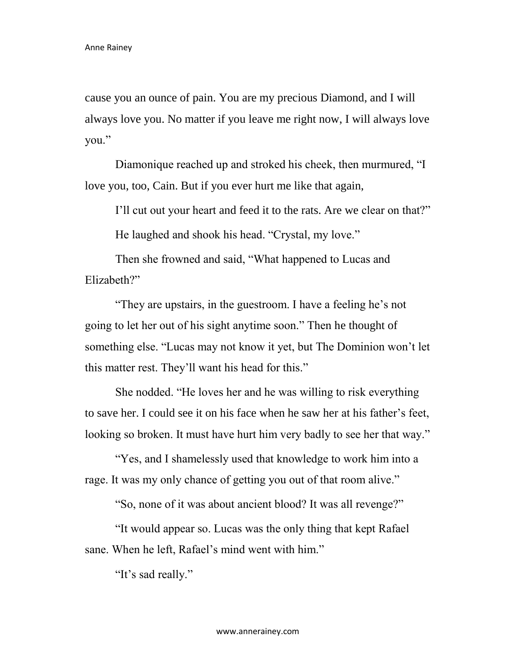cause you an ounce of pain. You are my precious Diamond, and I will always love you. No matter if you leave me right now, I will always love you."

Diamonique reached up and stroked his cheek, then murmured, "I love you, too, Cain. But if you ever hurt me like that again,

I'll cut out your heart and feed it to the rats. Are we clear on that?"

He laughed and shook his head. "Crystal, my love."

Then she frowned and said, "What happened to Lucas and Elizabeth?"

"They are upstairs, in the guestroom. I have a feeling he's not going to let her out of his sight anytime soon." Then he thought of something else. "Lucas may not know it yet, but The Dominion won't let this matter rest. They'll want his head for this."

She nodded. "He loves her and he was willing to risk everything to save her. I could see it on his face when he saw her at his father's feet, looking so broken. It must have hurt him very badly to see her that way."

"Yes, and I shamelessly used that knowledge to work him into a rage. It was my only chance of getting you out of that room alive."

"So, none of it was about ancient blood? It was all revenge?"

"It would appear so. Lucas was the only thing that kept Rafael sane. When he left, Rafael's mind went with him."

"It's sad really."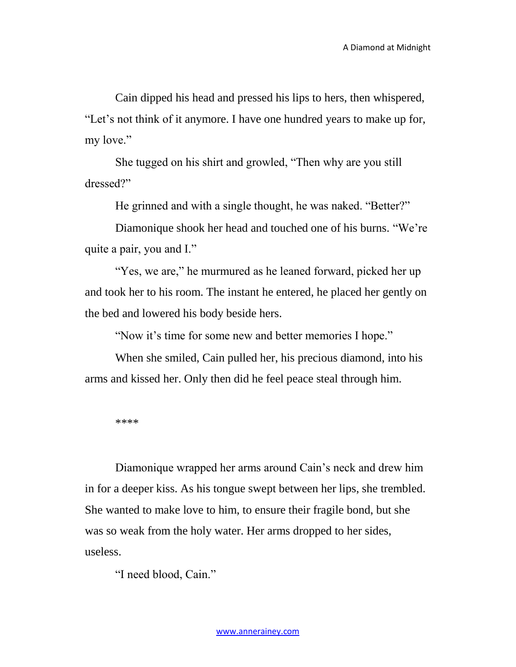Cain dipped his head and pressed his lips to hers, then whispered, "Let's not think of it anymore. I have one hundred years to make up for, my love."

She tugged on his shirt and growled, "Then why are you still dressed?"

He grinned and with a single thought, he was naked. "Better?"

Diamonique shook her head and touched one of his burns. "We're quite a pair, you and I."

"Yes, we are," he murmured as he leaned forward, picked her up and took her to his room. The instant he entered, he placed her gently on the bed and lowered his body beside hers.

"Now it's time for some new and better memories I hope."

When she smiled, Cain pulled her, his precious diamond, into his arms and kissed her. Only then did he feel peace steal through him.

\*\*\*\*

Diamonique wrapped her arms around Cain's neck and drew him in for a deeper kiss. As his tongue swept between her lips, she trembled. She wanted to make love to him, to ensure their fragile bond, but she was so weak from the holy water. Her arms dropped to her sides, useless.

"I need blood, Cain."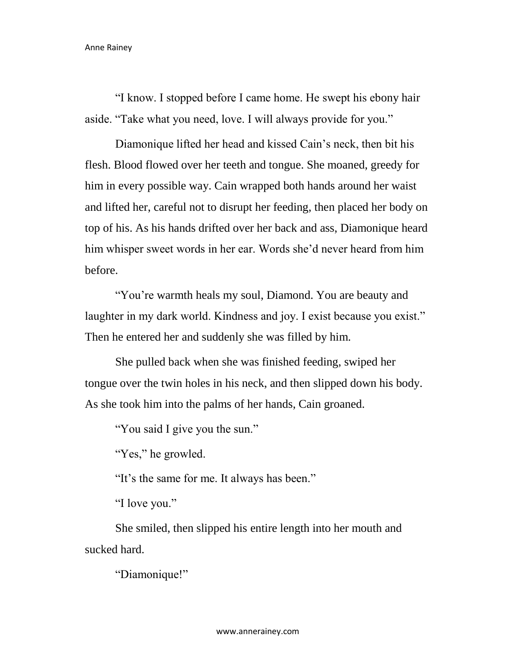"I know. I stopped before I came home. He swept his ebony hair aside. "Take what you need, love. I will always provide for you."

Diamonique lifted her head and kissed Cain's neck, then bit his flesh. Blood flowed over her teeth and tongue. She moaned, greedy for him in every possible way. Cain wrapped both hands around her waist and lifted her, careful not to disrupt her feeding, then placed her body on top of his. As his hands drifted over her back and ass, Diamonique heard him whisper sweet words in her ear. Words she'd never heard from him before.

"You're warmth heals my soul, Diamond. You are beauty and laughter in my dark world. Kindness and joy. I exist because you exist." Then he entered her and suddenly she was filled by him.

She pulled back when she was finished feeding, swiped her tongue over the twin holes in his neck, and then slipped down his body. As she took him into the palms of her hands, Cain groaned.

"You said I give you the sun."

"Yes," he growled.

"It's the same for me. It always has been."

"I love you."

She smiled, then slipped his entire length into her mouth and sucked hard.

"Diamonique!"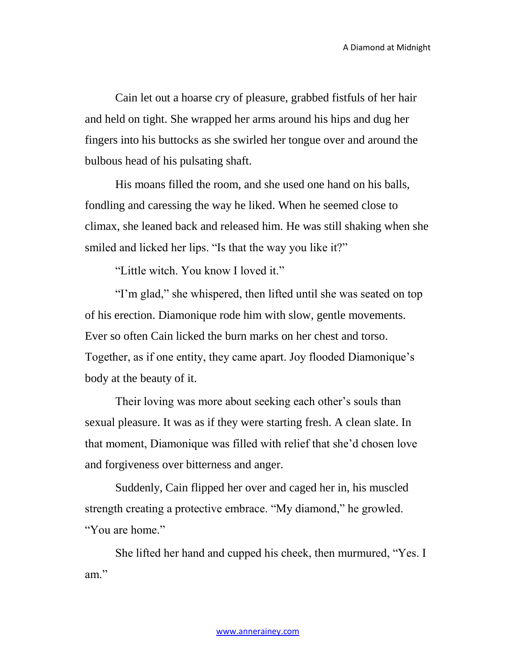Cain let out a hoarse cry of pleasure, grabbed fistfuls of her hair and held on tight. She wrapped her arms around his hips and dug her fingers into his buttocks as she swirled her tongue over and around the bulbous head of his pulsating shaft.

His moans filled the room, and she used one hand on his balls, fondling and caressing the way he liked. When he seemed close to climax, she leaned back and released him. He was still shaking when she smiled and licked her lips. "Is that the way you like it?"

"Little witch. You know I loved it."

"I'm glad," she whispered, then lifted until she was seated on top of his erection. Diamonique rode him with slow, gentle movements. Ever so often Cain licked the burn marks on her chest and torso. Together, as if one entity, they came apart. Joy flooded Diamonique's body at the beauty of it.

Their loving was more about seeking each other's souls than sexual pleasure. It was as if they were starting fresh. A clean slate. In that moment, Diamonique was filled with relief that she'd chosen love and forgiveness over bitterness and anger.

Suddenly, Cain flipped her over and caged her in, his muscled strength creating a protective embrace. "My diamond," he growled. "You are home."

She lifted her hand and cupped his cheek, then murmured, "Yes. I am."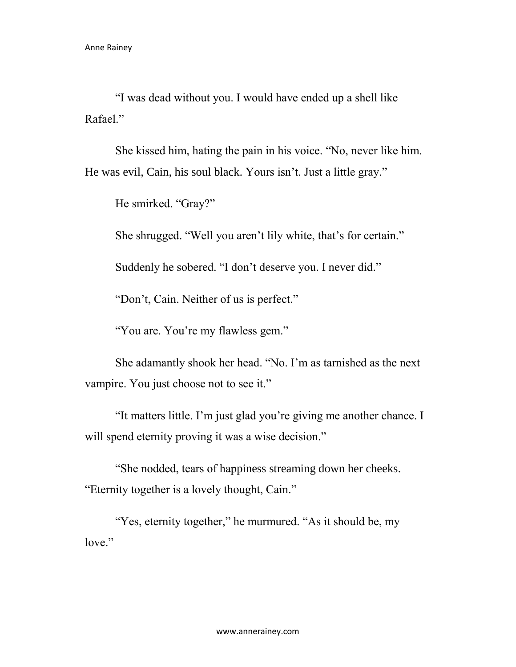"I was dead without you. I would have ended up a shell like Rafael."

She kissed him, hating the pain in his voice. "No, never like him. He was evil, Cain, his soul black. Yours isn't. Just a little gray."

He smirked. "Gray?"

She shrugged. "Well you aren't lily white, that's for certain."

Suddenly he sobered. "I don't deserve you. I never did."

"Don't, Cain. Neither of us is perfect."

"You are. You're my flawless gem."

She adamantly shook her head. "No. I'm as tarnished as the next vampire. You just choose not to see it."

"It matters little. I'm just glad you're giving me another chance. I will spend eternity proving it was a wise decision."

"She nodded, tears of happiness streaming down her cheeks. "Eternity together is a lovely thought, Cain."

"Yes, eternity together," he murmured. "As it should be, my love."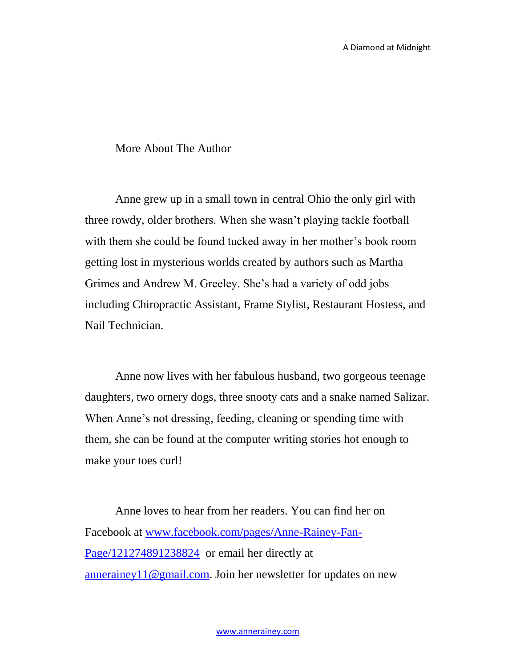## More About The Author

Anne grew up in a small town in central Ohio the only girl with three rowdy, older brothers. When she wasn't playing tackle football with them she could be found tucked away in her mother's book room getting lost in mysterious worlds created by authors such as Martha Grimes and Andrew M. Greeley. She's had a variety of odd jobs including Chiropractic Assistant, Frame Stylist, Restaurant Hostess, and Nail Technician.

Anne now lives with her fabulous husband, two gorgeous teenage daughters, two ornery dogs, three snooty cats and a snake named Salizar. When Anne's not dressing, feeding, cleaning or spending time with them, she can be found at the computer writing stories hot enough to make your toes curl!

Anne loves to hear from her readers. You can find her on Facebook at [www.facebook.com/pages/Anne-Rainey-Fan-](http://www.facebook.com/pages/Anne-Rainey-Fan-Page/121274891238824)[Page/121274891238824](http://www.facebook.com/pages/Anne-Rainey-Fan-Page/121274891238824) or email her directly at [annerainey11@gmail.com.](mailto:annerainey11@gmail.com) Join her newsletter for updates on new